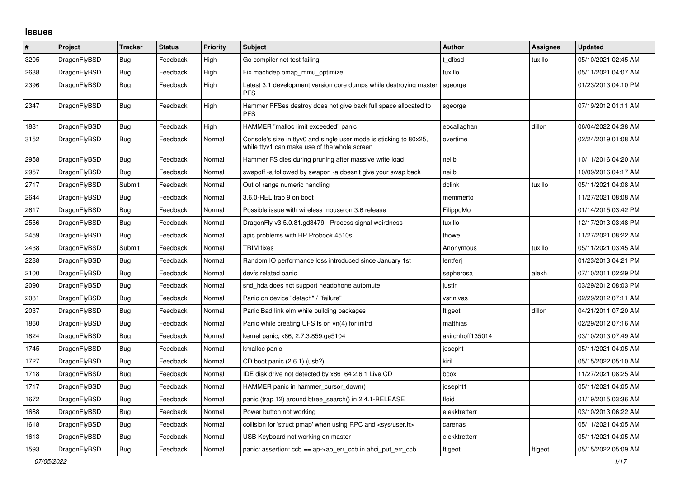## **Issues**

| ∦    | <b>Project</b> | <b>Tracker</b> | <b>Status</b> | <b>Priority</b> | <b>Subject</b>                                                                                                     | <b>Author</b>    | <b>Assignee</b> | <b>Updated</b>      |
|------|----------------|----------------|---------------|-----------------|--------------------------------------------------------------------------------------------------------------------|------------------|-----------------|---------------------|
| 3205 | DragonFlyBSD   | Bug            | Feedback      | High            | Go compiler net test failing                                                                                       | t dfbsd          | tuxillo         | 05/10/2021 02:45 AM |
| 2638 | DragonFlyBSD   | Bug            | Feedback      | High            | Fix machdep.pmap mmu optimize                                                                                      | tuxillo          |                 | 05/11/2021 04:07 AM |
| 2396 | DragonFlyBSD   | <b>Bug</b>     | Feedback      | High            | Latest 3.1 development version core dumps while destroying master<br><b>PFS</b>                                    | sgeorge          |                 | 01/23/2013 04:10 PM |
| 2347 | DragonFlyBSD   | <b>Bug</b>     | Feedback      | High            | Hammer PFSes destroy does not give back full space allocated to<br><b>PFS</b>                                      | sgeorge          |                 | 07/19/2012 01:11 AM |
| 1831 | DragonFlyBSD   | <b>Bug</b>     | Feedback      | High            | HAMMER "malloc limit exceeded" panic                                                                               | eocallaghan      | dillon          | 06/04/2022 04:38 AM |
| 3152 | DragonFlyBSD   | <b>Bug</b>     | Feedback      | Normal          | Console's size in ttyv0 and single user mode is sticking to 80x25,<br>while ttyv1 can make use of the whole screen | overtime         |                 | 02/24/2019 01:08 AM |
| 2958 | DragonFlyBSD   | <b>Bug</b>     | Feedback      | Normal          | Hammer FS dies during pruning after massive write load                                                             | neilb            |                 | 10/11/2016 04:20 AM |
| 2957 | DragonFlyBSD   | Bug            | Feedback      | Normal          | swapoff -a followed by swapon -a doesn't give your swap back                                                       | neilb            |                 | 10/09/2016 04:17 AM |
| 2717 | DragonFlyBSD   | Submit         | Feedback      | Normal          | Out of range numeric handling                                                                                      | dclink           | tuxillo         | 05/11/2021 04:08 AM |
| 2644 | DragonFlyBSD   | <b>Bug</b>     | Feedback      | Normal          | 3.6.0-REL trap 9 on boot                                                                                           | memmerto         |                 | 11/27/2021 08:08 AM |
| 2617 | DragonFlyBSD   | Bug            | Feedback      | Normal          | Possible issue with wireless mouse on 3.6 release                                                                  | FilippoMo        |                 | 01/14/2015 03:42 PM |
| 2556 | DragonFlyBSD   | Bug            | Feedback      | Normal          | DragonFly v3.5.0.81.gd3479 - Process signal weirdness                                                              | tuxillo          |                 | 12/17/2013 03:48 PM |
| 2459 | DragonFlyBSD   | <b>Bug</b>     | Feedback      | Normal          | apic problems with HP Probook 4510s                                                                                | thowe            |                 | 11/27/2021 08:22 AM |
| 2438 | DragonFlyBSD   | Submit         | Feedback      | Normal          | <b>TRIM</b> fixes                                                                                                  | Anonymous        | tuxillo         | 05/11/2021 03:45 AM |
| 2288 | DragonFlyBSD   | <b>Bug</b>     | Feedback      | Normal          | Random IO performance loss introduced since January 1st                                                            | lentferi         |                 | 01/23/2013 04:21 PM |
| 2100 | DragonFlyBSD   | <b>Bug</b>     | Feedback      | Normal          | devfs related panic                                                                                                | sepherosa        | alexh           | 07/10/2011 02:29 PM |
| 2090 | DragonFlyBSD   | Bug            | Feedback      | Normal          | snd hda does not support headphone automute                                                                        | justin           |                 | 03/29/2012 08:03 PM |
| 2081 | DragonFlyBSD   | <b>Bug</b>     | Feedback      | Normal          | Panic on device "detach" / "failure"                                                                               | vsrinivas        |                 | 02/29/2012 07:11 AM |
| 2037 | DragonFlyBSD   | Bug            | Feedback      | Normal          | Panic Bad link elm while building packages                                                                         | ftigeot          | dillon          | 04/21/2011 07:20 AM |
| 1860 | DragonFlyBSD   | Bug            | Feedback      | Normal          | Panic while creating UFS fs on vn(4) for initrd                                                                    | matthias         |                 | 02/29/2012 07:16 AM |
| 1824 | DragonFlyBSD   | Bug            | Feedback      | Normal          | kernel panic, x86, 2.7.3.859.ge5104                                                                                | akirchhoff135014 |                 | 03/10/2013 07:49 AM |
| 1745 | DragonFlyBSD   | Bug            | Feedback      | Normal          | kmalloc panic                                                                                                      | josepht          |                 | 05/11/2021 04:05 AM |
| 1727 | DragonFlyBSD   | Bug            | Feedback      | Normal          | CD boot panic (2.6.1) (usb?)                                                                                       | kiril            |                 | 05/15/2022 05:10 AM |
| 1718 | DragonFlyBSD   | Bug            | Feedback      | Normal          | IDE disk drive not detected by x86 64 2.6.1 Live CD                                                                | bcox             |                 | 11/27/2021 08:25 AM |
| 1717 | DragonFlyBSD   | <b>Bug</b>     | Feedback      | Normal          | HAMMER panic in hammer cursor down()                                                                               | josepht1         |                 | 05/11/2021 04:05 AM |
| 1672 | DragonFlyBSD   | <b>Bug</b>     | Feedback      | Normal          | panic (trap 12) around btree_search() in 2.4.1-RELEASE                                                             | floid            |                 | 01/19/2015 03:36 AM |
| 1668 | DragonFlyBSD   | Bug            | Feedback      | Normal          | Power button not working                                                                                           | elekktretterr    |                 | 03/10/2013 06:22 AM |
| 1618 | DragonFlyBSD   | Bug            | Feedback      | Normal          | collision for 'struct pmap' when using RPC and <sys user.h=""></sys>                                               | carenas          |                 | 05/11/2021 04:05 AM |
| 1613 | DragonFlyBSD   | Bug            | Feedback      | Normal          | USB Keyboard not working on master                                                                                 | elekktretterr    |                 | 05/11/2021 04:05 AM |
| 1593 | DragonFlyBSD   | Bug            | Feedback      | Normal          | panic: assertion: $ccb == ap > ap$ err $ccb$ in ahci put err $ccb$                                                 | ftigeot          | ftigeot         | 05/15/2022 05:09 AM |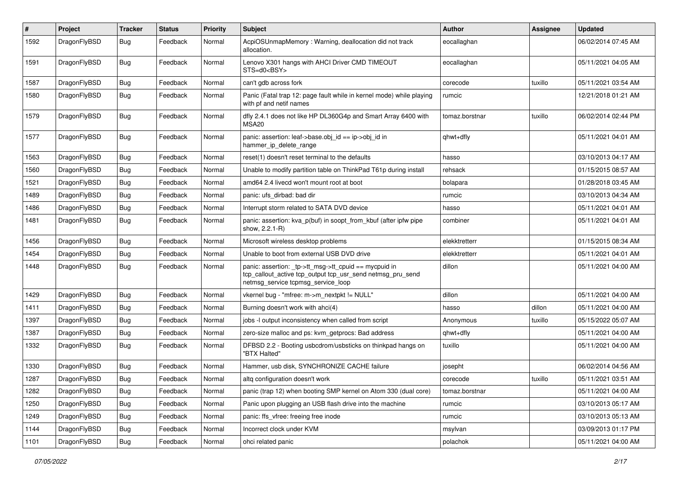| $\#$ | Project      | <b>Tracker</b> | <b>Status</b> | Priority | Subject                                                                                                                                                   | <b>Author</b>  | <b>Assignee</b> | <b>Updated</b>      |
|------|--------------|----------------|---------------|----------|-----------------------------------------------------------------------------------------------------------------------------------------------------------|----------------|-----------------|---------------------|
| 1592 | DragonFlyBSD | Bug            | Feedback      | Normal   | AcpiOSUnmapMemory: Warning, deallocation did not track<br>allocation.                                                                                     | eocallaghan    |                 | 06/02/2014 07:45 AM |
| 1591 | DragonFlyBSD | Bug            | Feedback      | Normal   | Lenovo X301 hangs with AHCI Driver CMD TIMEOUT<br>STS=d0 <bsy></bsy>                                                                                      | eocallaghan    |                 | 05/11/2021 04:05 AM |
| 1587 | DragonFlyBSD | Bug            | Feedback      | Normal   | can't gdb across fork                                                                                                                                     | corecode       | tuxillo         | 05/11/2021 03:54 AM |
| 1580 | DragonFlyBSD | <b>Bug</b>     | Feedback      | Normal   | Panic (Fatal trap 12: page fault while in kernel mode) while playing<br>with pf and netif names                                                           | rumcic         |                 | 12/21/2018 01:21 AM |
| 1579 | DragonFlyBSD | <b>Bug</b>     | Feedback      | Normal   | dfly 2.4.1 does not like HP DL360G4p and Smart Array 6400 with<br>MSA <sub>20</sub>                                                                       | tomaz.borstnar | tuxillo         | 06/02/2014 02:44 PM |
| 1577 | DragonFlyBSD | Bug            | Feedback      | Normal   | panic: assertion: leaf->base.obj_id == ip->obj_id in<br>hammer_ip_delete_range                                                                            | qhwt+dfly      |                 | 05/11/2021 04:01 AM |
| 1563 | DragonFlyBSD | Bug            | Feedback      | Normal   | reset(1) doesn't reset terminal to the defaults                                                                                                           | hasso          |                 | 03/10/2013 04:17 AM |
| 1560 | DragonFlyBSD | Bug            | Feedback      | Normal   | Unable to modify partition table on ThinkPad T61p during install                                                                                          | rehsack        |                 | 01/15/2015 08:57 AM |
| 1521 | DragonFlyBSD | <b>Bug</b>     | Feedback      | Normal   | amd64 2.4 livecd won't mount root at boot                                                                                                                 | bolapara       |                 | 01/28/2018 03:45 AM |
| 1489 | DragonFlyBSD | <b>Bug</b>     | Feedback      | Normal   | panic: ufs dirbad: bad dir                                                                                                                                | rumcic         |                 | 03/10/2013 04:34 AM |
| 1486 | DragonFlyBSD | <b>Bug</b>     | Feedback      | Normal   | Interrupt storm related to SATA DVD device                                                                                                                | hasso          |                 | 05/11/2021 04:01 AM |
| 1481 | DragonFlyBSD | Bug            | Feedback      | Normal   | panic: assertion: kva p(buf) in soopt from kbuf (after ipfw pipe<br>show, 2.2.1-R)                                                                        | combiner       |                 | 05/11/2021 04:01 AM |
| 1456 | DragonFlyBSD | Bug            | Feedback      | Normal   | Microsoft wireless desktop problems                                                                                                                       | elekktretterr  |                 | 01/15/2015 08:34 AM |
| 1454 | DragonFlyBSD | <b>Bug</b>     | Feedback      | Normal   | Unable to boot from external USB DVD drive                                                                                                                | elekktretterr  |                 | 05/11/2021 04:01 AM |
| 1448 | DragonFlyBSD | Bug            | Feedback      | Normal   | panic: assertion: _tp->tt_msg->tt_cpuid == mycpuid in<br>tcp_callout_active tcp_output tcp_usr_send netmsg_pru_send<br>netmsg_service tcpmsg_service_loop | dillon         |                 | 05/11/2021 04:00 AM |
| 1429 | DragonFlyBSD | Bug            | Feedback      | Normal   | vkernel bug - "mfree: m->m_nextpkt != NULL"                                                                                                               | dillon         |                 | 05/11/2021 04:00 AM |
| 1411 | DragonFlyBSD | Bug            | Feedback      | Normal   | Burning doesn't work with ahci(4)                                                                                                                         | hasso          | dillon          | 05/11/2021 04:00 AM |
| 1397 | DragonFlyBSD | Bug            | Feedback      | Normal   | jobs -I output inconsistency when called from script                                                                                                      | Anonymous      | tuxillo         | 05/15/2022 05:07 AM |
| 1387 | DragonFlyBSD | <b>Bug</b>     | Feedback      | Normal   | zero-size malloc and ps: kvm_getprocs: Bad address                                                                                                        | qhwt+dfly      |                 | 05/11/2021 04:00 AM |
| 1332 | DragonFlyBSD | <b>Bug</b>     | Feedback      | Normal   | DFBSD 2.2 - Booting usbcdrom/usbsticks on thinkpad hangs on<br>"BTX Halted"                                                                               | tuxillo        |                 | 05/11/2021 04:00 AM |
| 1330 | DragonFlyBSD | Bug            | Feedback      | Normal   | Hammer, usb disk, SYNCHRONIZE CACHE failure                                                                                                               | josepht        |                 | 06/02/2014 04:56 AM |
| 1287 | DragonFlyBSD | Bug            | Feedback      | Normal   | altg configuration doesn't work                                                                                                                           | corecode       | tuxillo         | 05/11/2021 03:51 AM |
| 1282 | DragonFlyBSD | <b>Bug</b>     | Feedback      | Normal   | panic (trap 12) when booting SMP kernel on Atom 330 (dual core)                                                                                           | tomaz.borstnar |                 | 05/11/2021 04:00 AM |
| 1250 | DragonFlyBSD | Bug            | Feedback      | Normal   | Panic upon plugging an USB flash drive into the machine                                                                                                   | rumcic         |                 | 03/10/2013 05:17 AM |
| 1249 | DragonFlyBSD | <b>Bug</b>     | Feedback      | Normal   | panic: ffs_vfree: freeing free inode                                                                                                                      | rumcic         |                 | 03/10/2013 05:13 AM |
| 1144 | DragonFlyBSD | <b>Bug</b>     | Feedback      | Normal   | Incorrect clock under KVM                                                                                                                                 | msylvan        |                 | 03/09/2013 01:17 PM |
| 1101 | DragonFlyBSD | <b>Bug</b>     | Feedback      | Normal   | ohci related panic                                                                                                                                        | polachok       |                 | 05/11/2021 04:00 AM |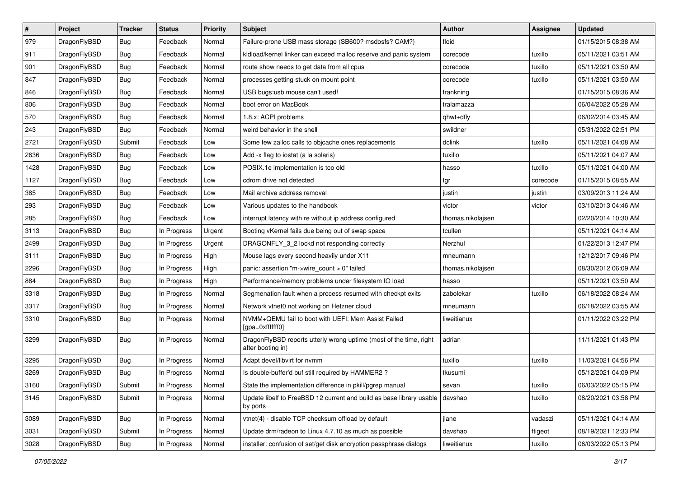| $\sharp$ | Project      | <b>Tracker</b> | <b>Status</b> | <b>Priority</b> | Subject                                                                                 | <b>Author</b>     | Assignee | <b>Updated</b>      |
|----------|--------------|----------------|---------------|-----------------|-----------------------------------------------------------------------------------------|-------------------|----------|---------------------|
| 979      | DragonFlyBSD | Bug            | Feedback      | Normal          | Failure-prone USB mass storage (SB600? msdosfs? CAM?)                                   | floid             |          | 01/15/2015 08:38 AM |
| 911      | DragonFlyBSD | Bug            | Feedback      | Normal          | kidload/kernel linker can exceed malloc reserve and panic system                        | corecode          | tuxillo  | 05/11/2021 03:51 AM |
| 901      | DragonFlyBSD | Bug            | Feedback      | Normal          | route show needs to get data from all cpus                                              | corecode          | tuxillo  | 05/11/2021 03:50 AM |
| 847      | DragonFlyBSD | <b>Bug</b>     | Feedback      | Normal          | processes getting stuck on mount point                                                  | corecode          | tuxillo  | 05/11/2021 03:50 AM |
| 846      | DragonFlyBSD | Bug            | Feedback      | Normal          | USB bugs:usb mouse can't used!                                                          | frankning         |          | 01/15/2015 08:36 AM |
| 806      | DragonFlyBSD | <b>Bug</b>     | Feedback      | Normal          | boot error on MacBook                                                                   | tralamazza        |          | 06/04/2022 05:28 AM |
| 570      | DragonFlyBSD | Bug            | Feedback      | Normal          | 1.8.x: ACPI problems                                                                    | qhwt+dfly         |          | 06/02/2014 03:45 AM |
| 243      | DragonFlyBSD | Bug            | Feedback      | Normal          | weird behavior in the shell                                                             | swildner          |          | 05/31/2022 02:51 PM |
| 2721     | DragonFlyBSD | Submit         | Feedback      | Low             | Some few zalloc calls to objcache ones replacements                                     | dclink            | tuxillo  | 05/11/2021 04:08 AM |
| 2636     | DragonFlyBSD | Bug            | Feedback      | Low             | Add -x flag to iostat (a la solaris)                                                    | tuxillo           |          | 05/11/2021 04:07 AM |
| 1428     | DragonFlyBSD | Bug            | Feedback      | Low             | POSIX.1e implementation is too old                                                      | hasso             | tuxillo  | 05/11/2021 04:00 AM |
| 1127     | DragonFlyBSD | <b>Bug</b>     | Feedback      | Low             | cdrom drive not detected                                                                | tgr               | corecode | 01/15/2015 08:55 AM |
| 385      | DragonFlyBSD | <b>Bug</b>     | Feedback      | Low             | Mail archive address removal                                                            | justin            | justin   | 03/09/2013 11:24 AM |
| 293      | DragonFlyBSD | Bug            | Feedback      | Low             | Various updates to the handbook                                                         | victor            | victor   | 03/10/2013 04:46 AM |
| 285      | DragonFlyBSD | Bug            | Feedback      | Low             | interrupt latency with re without ip address configured                                 | thomas.nikolajsen |          | 02/20/2014 10:30 AM |
| 3113     | DragonFlyBSD | <b>Bug</b>     | In Progress   | Urgent          | Booting vKernel fails due being out of swap space                                       | tcullen           |          | 05/11/2021 04:14 AM |
| 2499     | DragonFlyBSD | <b>Bug</b>     | In Progress   | Urgent          | DRAGONFLY 3 2 lockd not responding correctly                                            | Nerzhul           |          | 01/22/2013 12:47 PM |
| 3111     | DragonFlyBSD | Bug            | In Progress   | High            | Mouse lags every second heavily under X11                                               | mneumann          |          | 12/12/2017 09:46 PM |
| 2296     | DragonFlyBSD | Bug            | In Progress   | High            | panic: assertion "m->wire count > 0" failed                                             | thomas.nikolajsen |          | 08/30/2012 06:09 AM |
| 884      | DragonFlyBSD | Bug            | In Progress   | High            | Performance/memory problems under filesystem IO load                                    | hasso             |          | 05/11/2021 03:50 AM |
| 3318     | DragonFlyBSD | <b>Bug</b>     | In Progress   | Normal          | Segmenation fault when a process resumed with checkpt exits                             | zabolekar         | tuxillo  | 06/18/2022 08:24 AM |
| 3317     | DragonFlyBSD | <b>Bug</b>     | In Progress   | Normal          | Network vtnet0 not working on Hetzner cloud                                             | mneumann          |          | 06/18/2022 03:55 AM |
| 3310     | DragonFlyBSD | <b>Bug</b>     | In Progress   | Normal          | NVMM+QEMU fail to boot with UEFI: Mem Assist Failed<br>[gpa=0xfffffff0]                 | liweitianux       |          | 01/11/2022 03:22 PM |
| 3299     | DragonFlyBSD | Bug            | In Progress   | Normal          | DragonFlyBSD reports utterly wrong uptime (most of the time, right<br>after booting in) | adrian            |          | 11/11/2021 01:43 PM |
| 3295     | DragonFlyBSD | Bug            | In Progress   | Normal          | Adapt devel/libvirt for nvmm                                                            | tuxillo           | tuxillo  | 11/03/2021 04:56 PM |
| 3269     | DragonFlyBSD | Bug            | In Progress   | Normal          | Is double-buffer'd buf still required by HAMMER2 ?                                      | tkusumi           |          | 05/12/2021 04:09 PM |
| 3160     | DragonFlyBSD | Submit         | In Progress   | Normal          | State the implementation difference in pkill/pgrep manual                               | sevan             | tuxillo  | 06/03/2022 05:15 PM |
| 3145     | DragonFlyBSD | Submit         | In Progress   | Normal          | Update libelf to FreeBSD 12 current and build as base library usable<br>by ports        | davshao           | tuxillo  | 08/20/2021 03:58 PM |
| 3089     | DragonFlyBSD | <b>Bug</b>     | In Progress   | Normal          | vtnet(4) - disable TCP checksum offload by default                                      | jlane             | vadaszi  | 05/11/2021 04:14 AM |
| 3031     | DragonFlyBSD | Submit         | In Progress   | Normal          | Update drm/radeon to Linux 4.7.10 as much as possible                                   | davshao           | ftigeot  | 08/19/2021 12:33 PM |
| 3028     | DragonFlyBSD | <b>Bug</b>     | In Progress   | Normal          | installer: confusion of set/get disk encryption passphrase dialogs                      | liweitianux       | tuxillo  | 06/03/2022 05:13 PM |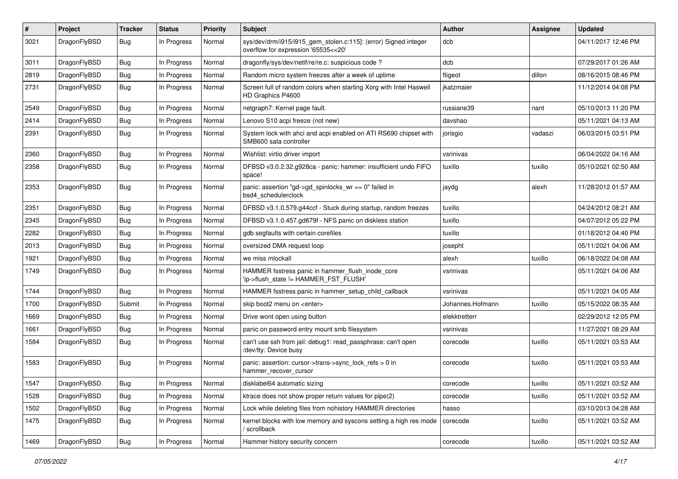| $\#$ | Project      | <b>Tracker</b> | <b>Status</b> | <b>Priority</b> | Subject                                                                                                | Author           | Assignee | <b>Updated</b>      |
|------|--------------|----------------|---------------|-----------------|--------------------------------------------------------------------------------------------------------|------------------|----------|---------------------|
| 3021 | DragonFlyBSD | Bug            | In Progress   | Normal          | sys/dev/drm/i915/i915_gem_stolen.c:115]: (error) Signed integer<br>overflow for expression '65535<<20' | dcb              |          | 04/11/2017 12:46 PM |
| 3011 | DragonFlyBSD | <b>Bug</b>     | In Progress   | Normal          | dragonfly/sys/dev/netif/re/re.c: suspicious code?                                                      | dcb              |          | 07/29/2017 01:26 AM |
| 2819 | DragonFlyBSD | <b>Bug</b>     | In Progress   | Normal          | Random micro system freezes after a week of uptime                                                     | ftigeot          | dillon   | 08/16/2015 08:46 PM |
| 2731 | DragonFlyBSD | Bug            | In Progress   | Normal          | Screen full of random colors when starting Xorg with Intel Haswell<br>HD Graphics P4600                | jkatzmaier       |          | 11/12/2014 04:08 PM |
| 2549 | DragonFlyBSD | <b>Bug</b>     | In Progress   | Normal          | netgraph7: Kernel page fault.                                                                          | russiane39       | nant     | 05/10/2013 11:20 PM |
| 2414 | DragonFlyBSD | <b>Bug</b>     | In Progress   | Normal          | Lenovo S10 acpi freeze (not new)                                                                       | davshao          |          | 05/11/2021 04:13 AM |
| 2391 | DragonFlyBSD | <b>Bug</b>     | In Progress   | Normal          | System lock with ahci and acpi enabled on ATI RS690 chipset with<br>SMB600 sata controller             | jorisgio         | vadaszi  | 06/03/2015 03:51 PM |
| 2360 | DragonFlyBSD | <b>Bug</b>     | In Progress   | Normal          | Wishlist: virtio driver import                                                                         | vsrinivas        |          | 06/04/2022 04:16 AM |
| 2358 | DragonFlyBSD | <b>Bug</b>     | In Progress   | Normal          | DFBSD v3.0.2.32.g928ca - panic: hammer: insufficient undo FIFO<br>space!                               | tuxillo          | tuxillo  | 05/10/2021 02:50 AM |
| 2353 | DragonFlyBSD | Bug            | In Progress   | Normal          | panic: assertion "gd->gd_spinlocks_wr == 0" failed in<br>bsd4_schedulerclock                           | jaydg            | alexh    | 11/28/2012 01:57 AM |
| 2351 | DragonFlyBSD | Bug            | In Progress   | Normal          | DFBSD v3.1.0.579.g44ccf - Stuck during startup, random freezes                                         | tuxillo          |          | 04/24/2012 08:21 AM |
| 2345 | DragonFlyBSD | <b>Bug</b>     | In Progress   | Normal          | DFBSD v3.1.0.457.gd679f - NFS panic on diskless station                                                | tuxillo          |          | 04/07/2012 05:22 PM |
| 2282 | DragonFlyBSD | <b>Bug</b>     | In Progress   | Normal          | gdb segfaults with certain corefiles                                                                   | tuxillo          |          | 01/18/2012 04:40 PM |
| 2013 | DragonFlyBSD | <b>Bug</b>     | In Progress   | Normal          | oversized DMA request loop                                                                             | josepht          |          | 05/11/2021 04:06 AM |
| 1921 | DragonFlyBSD | <b>Bug</b>     | In Progress   | Normal          | we miss mlockall                                                                                       | alexh            | tuxillo  | 06/18/2022 04:08 AM |
| 1749 | DragonFlyBSD | Bug            | In Progress   | Normal          | HAMMER fsstress panic in hammer_flush_inode_core<br>'ip->flush_state != HAMMER_FST_FLUSH'              | vsrinivas        |          | 05/11/2021 04:06 AM |
| 1744 | DragonFlyBSD | Bug            | In Progress   | Normal          | HAMMER fsstress panic in hammer_setup_child_callback                                                   | vsrinivas        |          | 05/11/2021 04:05 AM |
| 1700 | DragonFlyBSD | Submit         | In Progress   | Normal          | skip boot2 menu on <enter></enter>                                                                     | Johannes.Hofmann | tuxillo  | 05/15/2022 08:35 AM |
| 1669 | DragonFlyBSD | <b>Bug</b>     | In Progress   | Normal          | Drive wont open using button                                                                           | elekktretterr    |          | 02/29/2012 12:05 PM |
| 1661 | DragonFlyBSD | Bug            | In Progress   | Normal          | panic on password entry mount smb filesystem                                                           | vsrinivas        |          | 11/27/2021 08:29 AM |
| 1584 | DragonFlyBSD | Bug            | In Progress   | Normal          | can't use ssh from jail: debug1: read_passphrase: can't open<br>/dev/tty: Device busy                  | corecode         | tuxillo  | 05/11/2021 03:53 AM |
| 1583 | DragonFlyBSD | Bug            | In Progress   | Normal          | panic: assertion: cursor->trans->sync_lock_refs > 0 in<br>hammer recover cursor                        | corecode         | tuxillo  | 05/11/2021 03:53 AM |
| 1547 | DragonFlyBSD | <b>Bug</b>     | In Progress   | Normal          | disklabel64 automatic sizing                                                                           | corecode         | tuxillo  | 05/11/2021 03:52 AM |
| 1528 | DragonFlyBSD | Bug            | In Progress   | Normal          | ktrace does not show proper return values for pipe(2)                                                  | corecode         | tuxillo  | 05/11/2021 03:52 AM |
| 1502 | DragonFlyBSD | <b>Bug</b>     | In Progress   | Normal          | Lock while deleting files from nohistory HAMMER directories                                            | hasso            |          | 03/10/2013 04:28 AM |
| 1475 | DragonFlyBSD | <b>Bug</b>     | In Progress   | Normal          | kernel blocks with low memory and syscons setting a high res mode<br>' scrollback                      | corecode         | tuxillo  | 05/11/2021 03:52 AM |
| 1469 | DragonFlyBSD | <b>Bug</b>     | In Progress   | Normal          | Hammer history security concern                                                                        | corecode         | tuxillo  | 05/11/2021 03:52 AM |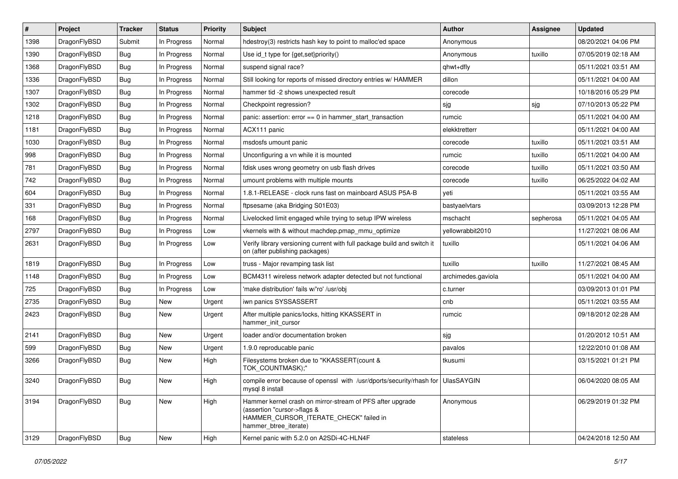| #    | Project      | <b>Tracker</b> | <b>Status</b> | <b>Priority</b> | <b>Subject</b>                                                                                                                                              | <b>Author</b>      | <b>Assignee</b> | <b>Updated</b>      |
|------|--------------|----------------|---------------|-----------------|-------------------------------------------------------------------------------------------------------------------------------------------------------------|--------------------|-----------------|---------------------|
| 1398 | DragonFlyBSD | Submit         | In Progress   | Normal          | hdestroy(3) restricts hash key to point to malloc'ed space                                                                                                  | Anonymous          |                 | 08/20/2021 04:06 PM |
| 1390 | DragonFlyBSD | Bug            | In Progress   | Normal          | Use id_t type for {get,set}priority()                                                                                                                       | Anonymous          | tuxillo         | 07/05/2019 02:18 AM |
| 1368 | DragonFlyBSD | <b>Bug</b>     | In Progress   | Normal          | suspend signal race?                                                                                                                                        | qhwt+dfly          |                 | 05/11/2021 03:51 AM |
| 1336 | DragonFlyBSD | <b>Bug</b>     | In Progress   | Normal          | Still looking for reports of missed directory entries w/ HAMMER                                                                                             | dillon             |                 | 05/11/2021 04:00 AM |
| 1307 | DragonFlyBSD | <b>Bug</b>     | In Progress   | Normal          | hammer tid -2 shows unexpected result                                                                                                                       | corecode           |                 | 10/18/2016 05:29 PM |
| 1302 | DragonFlyBSD | <b>Bug</b>     | In Progress   | Normal          | Checkpoint regression?                                                                                                                                      | sjg                | sjg             | 07/10/2013 05:22 PM |
| 1218 | DragonFlyBSD | Bug            | In Progress   | Normal          | panic: assertion: error == 0 in hammer_start_transaction                                                                                                    | rumcic             |                 | 05/11/2021 04:00 AM |
| 1181 | DragonFlyBSD | <b>Bug</b>     | In Progress   | Normal          | ACX111 panic                                                                                                                                                | elekktretterr      |                 | 05/11/2021 04:00 AM |
| 1030 | DragonFlyBSD | <b>Bug</b>     | In Progress   | Normal          | msdosfs umount panic                                                                                                                                        | corecode           | tuxillo         | 05/11/2021 03:51 AM |
| 998  | DragonFlyBSD | <b>Bug</b>     | In Progress   | Normal          | Unconfiguring a vn while it is mounted                                                                                                                      | rumcic             | tuxillo         | 05/11/2021 04:00 AM |
| 781  | DragonFlyBSD | <b>Bug</b>     | In Progress   | Normal          | fdisk uses wrong geometry on usb flash drives                                                                                                               | corecode           | tuxillo         | 05/11/2021 03:50 AM |
| 742  | DragonFlyBSD | Bug            | In Progress   | Normal          | umount problems with multiple mounts                                                                                                                        | corecode           | tuxillo         | 06/25/2022 04:02 AM |
| 604  | DragonFlyBSD | <b>Bug</b>     | In Progress   | Normal          | 1.8.1-RELEASE - clock runs fast on mainboard ASUS P5A-B                                                                                                     | yeti               |                 | 05/11/2021 03:55 AM |
| 331  | DragonFlyBSD | <b>Bug</b>     | In Progress   | Normal          | ftpsesame (aka Bridging S01E03)                                                                                                                             | bastyaelvtars      |                 | 03/09/2013 12:28 PM |
| 168  | DragonFlyBSD | <b>Bug</b>     | In Progress   | Normal          | Livelocked limit engaged while trying to setup IPW wireless                                                                                                 | mschacht           | sepherosa       | 05/11/2021 04:05 AM |
| 2797 | DragonFlyBSD | <b>Bug</b>     | In Progress   | Low             | vkernels with & without machdep.pmap_mmu_optimize                                                                                                           | yellowrabbit2010   |                 | 11/27/2021 08:06 AM |
| 2631 | DragonFlyBSD | <b>Bug</b>     | In Progress   | Low             | Verify library versioning current with full package build and switch it<br>on (after publishing packages)                                                   | tuxillo            |                 | 05/11/2021 04:06 AM |
| 1819 | DragonFlyBSD | <b>Bug</b>     | In Progress   | Low             | truss - Major revamping task list                                                                                                                           | tuxillo            | tuxillo         | 11/27/2021 08:45 AM |
| 1148 | DragonFlyBSD | Bug            | In Progress   | Low             | BCM4311 wireless network adapter detected but not functional                                                                                                | archimedes.gaviola |                 | 05/11/2021 04:00 AM |
| 725  | DragonFlyBSD | Bug            | In Progress   | Low             | 'make distribution' fails w/'ro' /usr/obj                                                                                                                   | c.turner           |                 | 03/09/2013 01:01 PM |
| 2735 | DragonFlyBSD | <b>Bug</b>     | <b>New</b>    | Urgent          | iwn panics SYSSASSERT                                                                                                                                       | cnb                |                 | 05/11/2021 03:55 AM |
| 2423 | DragonFlyBSD | Bug            | <b>New</b>    | Urgent          | After multiple panics/locks, hitting KKASSERT in<br>hammer init cursor                                                                                      | rumcic             |                 | 09/18/2012 02:28 AM |
| 2141 | DragonFlyBSD | <b>Bug</b>     | <b>New</b>    | Urgent          | loader and/or documentation broken                                                                                                                          | sjg                |                 | 01/20/2012 10:51 AM |
| 599  | DragonFlyBSD | <b>Bug</b>     | <b>New</b>    | Urgent          | 1.9.0 reproducable panic                                                                                                                                    | pavalos            |                 | 12/22/2010 01:08 AM |
| 3266 | DragonFlyBSD | Bug            | New           | High            | Filesystems broken due to "KKASSERT(count &<br>TOK_COUNTMASK);"                                                                                             | tkusumi            |                 | 03/15/2021 01:21 PM |
| 3240 | DragonFlyBSD | Bug            | New           | High            | compile error because of openssl with /usr/dports/security/rhash for UlasSAYGIN<br>mysql 8 install                                                          |                    |                 | 06/04/2020 08:05 AM |
| 3194 | DragonFlyBSD | <b>Bug</b>     | New           | High            | Hammer kernel crash on mirror-stream of PFS after upgrade<br>(assertion "cursor->flags &<br>HAMMER_CURSOR_ITERATE_CHECK" failed in<br>hammer_btree_iterate) | Anonymous          |                 | 06/29/2019 01:32 PM |
| 3129 | DragonFlyBSD | <b>Bug</b>     | New           | High            | Kernel panic with 5.2.0 on A2SDi-4C-HLN4F                                                                                                                   | stateless          |                 | 04/24/2018 12:50 AM |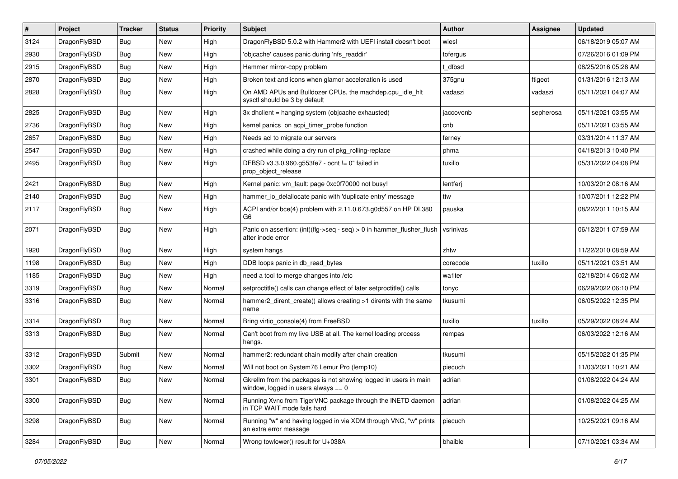| $\vert$ # | Project      | <b>Tracker</b> | <b>Status</b> | <b>Priority</b> | Subject                                                                                                   | <b>Author</b> | Assignee  | <b>Updated</b>      |
|-----------|--------------|----------------|---------------|-----------------|-----------------------------------------------------------------------------------------------------------|---------------|-----------|---------------------|
| 3124      | DragonFlyBSD | Bug            | New           | High            | DragonFlyBSD 5.0.2 with Hammer2 with UEFI install doesn't boot                                            | wiesl         |           | 06/18/2019 05:07 AM |
| 2930      | DragonFlyBSD | <b>Bug</b>     | New           | High            | 'objcache' causes panic during 'nfs_readdir'                                                              | tofergus      |           | 07/26/2016 01:09 PM |
| 2915      | DragonFlyBSD | Bug            | New           | High            | Hammer mirror-copy problem                                                                                | t dfbsd       |           | 08/25/2016 05:28 AM |
| 2870      | DragonFlyBSD | Bug            | New           | High            | Broken text and icons when glamor acceleration is used                                                    | 375gnu        | ftigeot   | 01/31/2016 12:13 AM |
| 2828      | DragonFlyBSD | Bug            | New           | High            | On AMD APUs and Bulldozer CPUs, the machdep.cpu_idle_hlt<br>sysctl should be 3 by default                 | vadaszi       | vadaszi   | 05/11/2021 04:07 AM |
| 2825      | DragonFlyBSD | Bug            | <b>New</b>    | High            | 3x dhclient = hanging system (objcache exhausted)                                                         | jaccovonb     | sepherosa | 05/11/2021 03:55 AM |
| 2736      | DragonFlyBSD | Bug            | New           | High            | kernel panics on acpi timer probe function                                                                | cnb           |           | 05/11/2021 03:55 AM |
| 2657      | DragonFlyBSD | <b>Bug</b>     | New           | High            | Needs acl to migrate our servers                                                                          | ferney        |           | 03/31/2014 11:37 AM |
| 2547      | DragonFlyBSD | <b>Bug</b>     | New           | High            | crashed while doing a dry run of pkg_rolling-replace                                                      | phma          |           | 04/18/2013 10:40 PM |
| 2495      | DragonFlyBSD | <b>Bug</b>     | New           | High            | DFBSD v3.3.0.960.g553fe7 - ocnt != 0" failed in<br>prop_object_release                                    | tuxillo       |           | 05/31/2022 04:08 PM |
| 2421      | DragonFlyBSD | <b>Bug</b>     | <b>New</b>    | High            | Kernel panic: vm_fault: page 0xc0f70000 not busy!                                                         | lentferj      |           | 10/03/2012 08:16 AM |
| 2140      | DragonFlyBSD | Bug            | New           | High            | hammer_io_delallocate panic with 'duplicate entry' message                                                | ttw           |           | 10/07/2011 12:22 PM |
| 2117      | DragonFlyBSD | <b>Bug</b>     | New           | High            | ACPI and/or bce(4) problem with 2.11.0.673.g0d557 on HP DL380<br>G <sub>6</sub>                           | pauska        |           | 08/22/2011 10:15 AM |
| 2071      | DragonFlyBSD | Bug            | New           | High            | Panic on assertion: (int)(flg->seq - seq) > 0 in hammer_flusher_flush<br>after inode error                | vsrinivas     |           | 06/12/2011 07:59 AM |
| 1920      | DragonFlyBSD | <b>Bug</b>     | New           | High            | system hangs                                                                                              | zhtw          |           | 11/22/2010 08:59 AM |
| 1198      | DragonFlyBSD | <b>Bug</b>     | New           | High            | DDB loops panic in db_read_bytes                                                                          | corecode      | tuxillo   | 05/11/2021 03:51 AM |
| 1185      | DragonFlyBSD | <b>Bug</b>     | New           | High            | need a tool to merge changes into /etc                                                                    | wa1ter        |           | 02/18/2014 06:02 AM |
| 3319      | DragonFlyBSD | <b>Bug</b>     | New           | Normal          | setproctitle() calls can change effect of later setproctitle() calls                                      | tonyc         |           | 06/29/2022 06:10 PM |
| 3316      | DragonFlyBSD | <b>Bug</b>     | New           | Normal          | hammer2_dirent_create() allows creating >1 dirents with the same<br>name                                  | tkusumi       |           | 06/05/2022 12:35 PM |
| 3314      | DragonFlyBSD | <b>Bug</b>     | New           | Normal          | Bring virtio_console(4) from FreeBSD                                                                      | tuxillo       | tuxillo   | 05/29/2022 08:24 AM |
| 3313      | DragonFlyBSD | Bug            | <b>New</b>    | Normal          | Can't boot from my live USB at all. The kernel loading process<br>hangs.                                  | rempas        |           | 06/03/2022 12:16 AM |
| 3312      | DragonFlyBSD | Submit         | New           | Normal          | hammer2: redundant chain modify after chain creation                                                      | tkusumi       |           | 05/15/2022 01:35 PM |
| 3302      | DragonFlyBSD | <b>Bug</b>     | New           | Normal          | Will not boot on System76 Lemur Pro (lemp10)                                                              | piecuch       |           | 11/03/2021 10:21 AM |
| 3301      | DragonFlyBSD | Bug            | <b>New</b>    | Normal          | Gkrellm from the packages is not showing logged in users in main<br>window, logged in users always $== 0$ | adrian        |           | 01/08/2022 04:24 AM |
| 3300      | DragonFlyBSD | <b>Bug</b>     | New           | Normal          | Running Xvnc from TigerVNC package through the INETD daemon<br>in TCP WAIT mode fails hard                | adrian        |           | 01/08/2022 04:25 AM |
| 3298      | DragonFlyBSD | <b>Bug</b>     | New           | Normal          | Running "w" and having logged in via XDM through VNC, "w" prints<br>an extra error message                | piecuch       |           | 10/25/2021 09:16 AM |
| 3284      | DragonFlyBSD | Bug            | New           | Normal          | Wrong towlower() result for U+038A                                                                        | bhaible       |           | 07/10/2021 03:34 AM |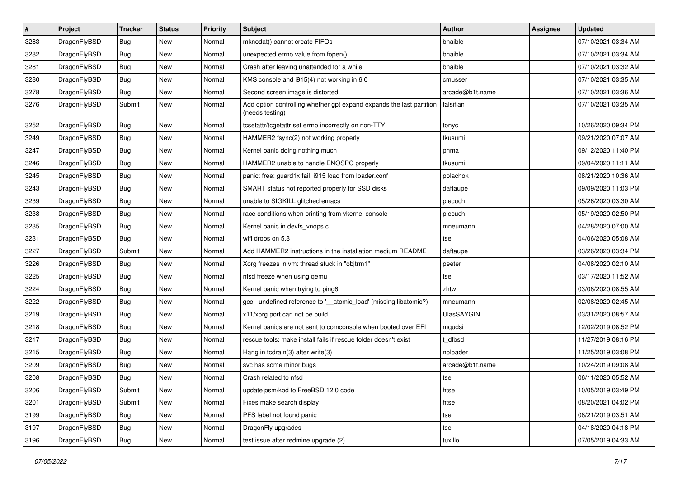| $\sharp$ | Project      | <b>Tracker</b> | <b>Status</b> | <b>Priority</b> | Subject                                                                                 | <b>Author</b>     | <b>Assignee</b> | <b>Updated</b>      |
|----------|--------------|----------------|---------------|-----------------|-----------------------------------------------------------------------------------------|-------------------|-----------------|---------------------|
| 3283     | DragonFlyBSD | <b>Bug</b>     | <b>New</b>    | Normal          | mknodat() cannot create FIFOs                                                           | bhaible           |                 | 07/10/2021 03:34 AM |
| 3282     | DragonFlyBSD | <b>Bug</b>     | <b>New</b>    | Normal          | unexpected errno value from fopen()                                                     | bhaible           |                 | 07/10/2021 03:34 AM |
| 3281     | DragonFlyBSD | <b>Bug</b>     | New           | Normal          | Crash after leaving unattended for a while                                              | bhaible           |                 | 07/10/2021 03:32 AM |
| 3280     | DragonFlyBSD | <b>Bug</b>     | New           | Normal          | KMS console and i915(4) not working in 6.0                                              | cmusser           |                 | 07/10/2021 03:35 AM |
| 3278     | DragonFlyBSD | <b>Bug</b>     | New           | Normal          | Second screen image is distorted                                                        | arcade@b1t.name   |                 | 07/10/2021 03:36 AM |
| 3276     | DragonFlyBSD | Submit         | New           | Normal          | Add option controlling whether gpt expand expands the last partition<br>(needs testing) | falsifian         |                 | 07/10/2021 03:35 AM |
| 3252     | DragonFlyBSD | <b>Bug</b>     | <b>New</b>    | Normal          | tcsetattr/tcgetattr set errno incorrectly on non-TTY                                    | tonyc             |                 | 10/26/2020 09:34 PM |
| 3249     | DragonFlyBSD | <b>Bug</b>     | New           | Normal          | HAMMER2 fsync(2) not working properly                                                   | tkusumi           |                 | 09/21/2020 07:07 AM |
| 3247     | DragonFlyBSD | <b>Bug</b>     | <b>New</b>    | Normal          | Kernel panic doing nothing much                                                         | phma              |                 | 09/12/2020 11:40 PM |
| 3246     | DragonFlyBSD | <b>Bug</b>     | <b>New</b>    | Normal          | HAMMER2 unable to handle ENOSPC properly                                                | tkusumi           |                 | 09/04/2020 11:11 AM |
| 3245     | DragonFlyBSD | <b>Bug</b>     | New           | Normal          | panic: free: guard1x fail, i915 load from loader.conf                                   | polachok          |                 | 08/21/2020 10:36 AM |
| 3243     | DragonFlyBSD | <b>Bug</b>     | <b>New</b>    | Normal          | SMART status not reported properly for SSD disks                                        | daftaupe          |                 | 09/09/2020 11:03 PM |
| 3239     | DragonFlyBSD | <b>Bug</b>     | New           | Normal          | unable to SIGKILL glitched emacs                                                        | piecuch           |                 | 05/26/2020 03:30 AM |
| 3238     | DragonFlyBSD | <b>Bug</b>     | <b>New</b>    | Normal          | race conditions when printing from vkernel console                                      | piecuch           |                 | 05/19/2020 02:50 PM |
| 3235     | DragonFlyBSD | <b>Bug</b>     | New           | Normal          | Kernel panic in devfs vnops.c                                                           | mneumann          |                 | 04/28/2020 07:00 AM |
| 3231     | DragonFlyBSD | <b>Bug</b>     | New           | Normal          | wifi drops on 5.8                                                                       | tse               |                 | 04/06/2020 05:08 AM |
| 3227     | DragonFlyBSD | Submit         | New           | Normal          | Add HAMMER2 instructions in the installation medium README                              | daftaupe          |                 | 03/26/2020 03:34 PM |
| 3226     | DragonFlyBSD | <b>Bug</b>     | New           | Normal          | Xorg freezes in vm: thread stuck in "objtrm1"                                           | peeter            |                 | 04/08/2020 02:10 AM |
| 3225     | DragonFlyBSD | <b>Bug</b>     | <b>New</b>    | Normal          | nfsd freeze when using qemu                                                             | tse               |                 | 03/17/2020 11:52 AM |
| 3224     | DragonFlyBSD | <b>Bug</b>     | <b>New</b>    | Normal          | Kernel panic when trying to ping6                                                       | zhtw              |                 | 03/08/2020 08:55 AM |
| 3222     | DragonFlyBSD | <b>Bug</b>     | New           | Normal          | gcc - undefined reference to '__atomic_load' (missing libatomic?)                       | mneumann          |                 | 02/08/2020 02:45 AM |
| 3219     | DragonFlyBSD | <b>Bug</b>     | <b>New</b>    | Normal          | x11/xorg port can not be build                                                          | <b>UlasSAYGIN</b> |                 | 03/31/2020 08:57 AM |
| 3218     | DragonFlyBSD | <b>Bug</b>     | <b>New</b>    | Normal          | Kernel panics are not sent to comconsole when booted over EFI                           | mqudsi            |                 | 12/02/2019 08:52 PM |
| 3217     | DragonFlyBSD | <b>Bug</b>     | New           | Normal          | rescue tools: make install fails if rescue folder doesn't exist                         | t dfbsd           |                 | 11/27/2019 08:16 PM |
| 3215     | DragonFlyBSD | <b>Bug</b>     | New           | Normal          | Hang in tcdrain(3) after write(3)                                                       | noloader          |                 | 11/25/2019 03:08 PM |
| 3209     | DragonFlyBSD | <b>Bug</b>     | New           | Normal          | svc has some minor bugs                                                                 | arcade@b1t.name   |                 | 10/24/2019 09:08 AM |
| 3208     | DragonFlyBSD | <b>Bug</b>     | New           | Normal          | Crash related to nfsd                                                                   | tse               |                 | 06/11/2020 05:52 AM |
| 3206     | DragonFlyBSD | Submit         | New           | Normal          | update psm/kbd to FreeBSD 12.0 code                                                     | htse              |                 | 10/05/2019 03:49 PM |
| 3201     | DragonFlyBSD | Submit         | <b>New</b>    | Normal          | Fixes make search display                                                               | htse              |                 | 08/20/2021 04:02 PM |
| 3199     | DragonFlyBSD | <b>Bug</b>     | New           | Normal          | PFS label not found panic                                                               | tse               |                 | 08/21/2019 03:51 AM |
| 3197     | DragonFlyBSD | <b>Bug</b>     | New           | Normal          | DragonFly upgrades                                                                      | tse               |                 | 04/18/2020 04:18 PM |
| 3196     | DragonFlyBSD | <b>Bug</b>     | New           | Normal          | test issue after redmine upgrade (2)                                                    | tuxillo           |                 | 07/05/2019 04:33 AM |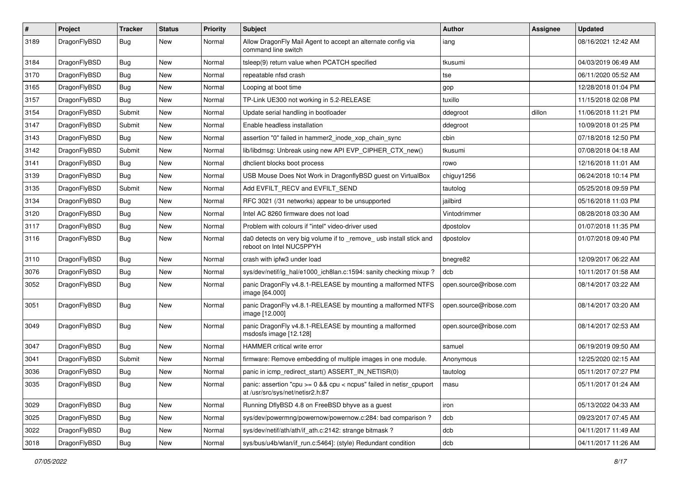| $\sharp$ | Project      | <b>Tracker</b> | <b>Status</b> | <b>Priority</b> | Subject                                                                                                 | Author                 | Assignee | <b>Updated</b>      |
|----------|--------------|----------------|---------------|-----------------|---------------------------------------------------------------------------------------------------------|------------------------|----------|---------------------|
| 3189     | DragonFlyBSD | Bug            | <b>New</b>    | Normal          | Allow DragonFly Mail Agent to accept an alternate config via<br>command line switch                     | iang                   |          | 08/16/2021 12:42 AM |
| 3184     | DragonFlyBSD | <b>Bug</b>     | <b>New</b>    | Normal          | tsleep(9) return value when PCATCH specified                                                            | tkusumi                |          | 04/03/2019 06:49 AM |
| 3170     | DragonFlyBSD | <b>Bug</b>     | New           | Normal          | repeatable nfsd crash                                                                                   | tse                    |          | 06/11/2020 05:52 AM |
| 3165     | DragonFlyBSD | <b>Bug</b>     | <b>New</b>    | Normal          | Looping at boot time                                                                                    | gop                    |          | 12/28/2018 01:04 PM |
| 3157     | DragonFlyBSD | Bug            | <b>New</b>    | Normal          | TP-Link UE300 not working in 5.2-RELEASE                                                                | tuxillo                |          | 11/15/2018 02:08 PM |
| 3154     | DragonFlyBSD | Submit         | <b>New</b>    | Normal          | Update serial handling in bootloader                                                                    | ddegroot               | dillon   | 11/06/2018 11:21 PM |
| 3147     | DragonFlyBSD | Submit         | New           | Normal          | Enable headless installation                                                                            | ddegroot               |          | 10/09/2018 01:25 PM |
| 3143     | DragonFlyBSD | Bug            | New           | Normal          | assertion "0" failed in hammer2_inode_xop_chain_sync                                                    | cbin                   |          | 07/18/2018 12:50 PM |
| 3142     | DragonFlyBSD | Submit         | <b>New</b>    | Normal          | lib/libdmsg: Unbreak using new API EVP_CIPHER_CTX_new()                                                 | tkusumi                |          | 07/08/2018 04:18 AM |
| 3141     | DragonFlyBSD | <b>Bug</b>     | New           | Normal          | dhclient blocks boot process                                                                            | rowo                   |          | 12/16/2018 11:01 AM |
| 3139     | DragonFlyBSD | Bug            | <b>New</b>    | Normal          | USB Mouse Does Not Work in DragonflyBSD guest on VirtualBox                                             | chiguy1256             |          | 06/24/2018 10:14 PM |
| 3135     | DragonFlyBSD | Submit         | <b>New</b>    | Normal          | Add EVFILT RECV and EVFILT SEND                                                                         | tautolog               |          | 05/25/2018 09:59 PM |
| 3134     | DragonFlyBSD | <b>Bug</b>     | New           | Normal          | RFC 3021 (/31 networks) appear to be unsupported                                                        | jailbird               |          | 05/16/2018 11:03 PM |
| 3120     | DragonFlyBSD | Bug            | <b>New</b>    | Normal          | Intel AC 8260 firmware does not load                                                                    | Vintodrimmer           |          | 08/28/2018 03:30 AM |
| 3117     | DragonFlyBSD | <b>Bug</b>     | New           | Normal          | Problem with colours if "intel" video-driver used                                                       | dpostolov              |          | 01/07/2018 11:35 PM |
| 3116     | DragonFlyBSD | Bug            | New           | Normal          | da0 detects on very big volume if to _remove_usb install stick and<br>reboot on Intel NUC5PPYH          | dpostolov              |          | 01/07/2018 09:40 PM |
| 3110     | DragonFlyBSD | Bug            | <b>New</b>    | Normal          | crash with ipfw3 under load                                                                             | bnegre82               |          | 12/09/2017 06:22 AM |
| 3076     | DragonFlyBSD | <b>Bug</b>     | <b>New</b>    | Normal          | sys/dev/netif/ig_hal/e1000_ich8lan.c:1594: sanity checking mixup?                                       | dcb                    |          | 10/11/2017 01:58 AM |
| 3052     | DragonFlyBSD | Bug            | <b>New</b>    | Normal          | panic DragonFly v4.8.1-RELEASE by mounting a malformed NTFS<br>image [64.000]                           | open.source@ribose.com |          | 08/14/2017 03:22 AM |
| 3051     | DragonFlyBSD | <b>Bug</b>     | <b>New</b>    | Normal          | panic DragonFly v4.8.1-RELEASE by mounting a malformed NTFS<br>image [12.000]                           | open.source@ribose.com |          | 08/14/2017 03:20 AM |
| 3049     | DragonFlyBSD | Bug            | New           | Normal          | panic DragonFly v4.8.1-RELEASE by mounting a malformed<br>msdosfs image [12.128]                        | open.source@ribose.com |          | 08/14/2017 02:53 AM |
| 3047     | DragonFlyBSD | Bug            | <b>New</b>    | Normal          | HAMMER critical write error                                                                             | samuel                 |          | 06/19/2019 09:50 AM |
| 3041     | DragonFlyBSD | Submit         | New           | Normal          | firmware: Remove embedding of multiple images in one module.                                            | Anonymous              |          | 12/25/2020 02:15 AM |
| 3036     | DragonFlyBSD | <b>Bug</b>     | <b>New</b>    | Normal          | panic in icmp_redirect_start() ASSERT_IN_NETISR(0)                                                      | tautolog               |          | 05/11/2017 07:27 PM |
| 3035     | DragonFlyBSD | <b>Bug</b>     | New           | Normal          | panic: assertion "cpu >= 0 && cpu < ncpus" failed in netisr_cpuport<br>at /usr/src/sys/net/netisr2.h:87 | masu                   |          | 05/11/2017 01:24 AM |
| 3029     | DragonFlyBSD | Bug            | New           | Normal          | Running DflyBSD 4.8 on FreeBSD bhyve as a guest                                                         | iron                   |          | 05/13/2022 04:33 AM |
| 3025     | DragonFlyBSD | <b>Bug</b>     | New           | Normal          | sys/dev/powermng/powernow/powernow.c:284: bad comparison?                                               | dcb                    |          | 09/23/2017 07:45 AM |
| 3022     | DragonFlyBSD | Bug            | New           | Normal          | sys/dev/netif/ath/ath/if ath.c:2142: strange bitmask?                                                   | dcb                    |          | 04/11/2017 11:49 AM |
| 3018     | DragonFlyBSD | <b>Bug</b>     | New           | Normal          | sys/bus/u4b/wlan/if run.c:5464]: (style) Redundant condition                                            | dcb                    |          | 04/11/2017 11:26 AM |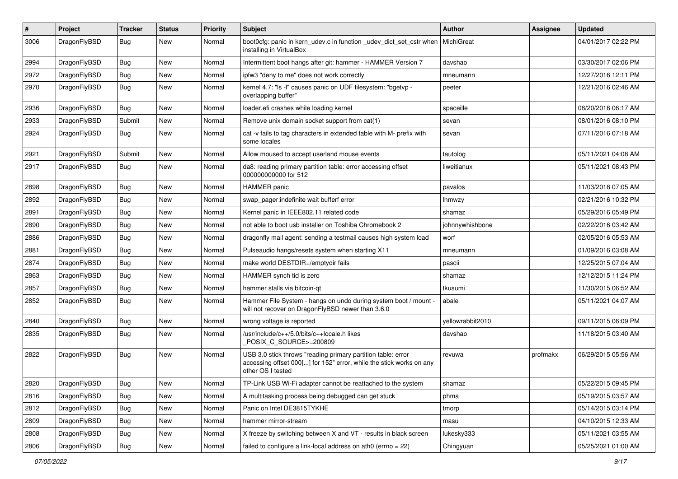| $\sharp$ | Project      | <b>Tracker</b> | <b>Status</b> | <b>Priority</b> | Subject                                                                                                                                                  | Author           | Assignee | <b>Updated</b>      |
|----------|--------------|----------------|---------------|-----------------|----------------------------------------------------------------------------------------------------------------------------------------------------------|------------------|----------|---------------------|
| 3006     | DragonFlyBSD | Bug            | <b>New</b>    | Normal          | boot0cfg: panic in kern_udev.c in function _udev_dict_set_cstr when<br>installing in VirtualBox                                                          | MichiGreat       |          | 04/01/2017 02:22 PM |
| 2994     | DragonFlyBSD | Bug            | <b>New</b>    | Normal          | Intermittent boot hangs after git: hammer - HAMMER Version 7                                                                                             | davshao          |          | 03/30/2017 02:06 PM |
| 2972     | DragonFlyBSD | <b>Bug</b>     | New           | Normal          | ipfw3 "deny to me" does not work correctly                                                                                                               | mneumann         |          | 12/27/2016 12:11 PM |
| 2970     | DragonFlyBSD | <b>Bug</b>     | <b>New</b>    | Normal          | kernel 4.7: "Is -I" causes panic on UDF filesystem: "bgetvp -<br>overlapping buffer"                                                                     | peeter           |          | 12/21/2016 02:46 AM |
| 2936     | DragonFlyBSD | Bug            | <b>New</b>    | Normal          | loader.efi crashes while loading kernel                                                                                                                  | spaceille        |          | 08/20/2016 06:17 AM |
| 2933     | DragonFlyBSD | Submit         | <b>New</b>    | Normal          | Remove unix domain socket support from cat(1)                                                                                                            | sevan            |          | 08/01/2016 08:10 PM |
| 2924     | DragonFlyBSD | Bug            | New           | Normal          | cat -v fails to tag characters in extended table with M- prefix with<br>some locales                                                                     | sevan            |          | 07/11/2016 07:18 AM |
| 2921     | DragonFlyBSD | Submit         | <b>New</b>    | Normal          | Allow moused to accept userland mouse events                                                                                                             | tautolog         |          | 05/11/2021 04:08 AM |
| 2917     | DragonFlyBSD | Bug            | New           | Normal          | da8: reading primary partition table: error accessing offset<br>000000000000 for 512                                                                     | liweitianux      |          | 05/11/2021 08:43 PM |
| 2898     | DragonFlyBSD | <b>Bug</b>     | <b>New</b>    | Normal          | <b>HAMMER</b> panic                                                                                                                                      | pavalos          |          | 11/03/2018 07:05 AM |
| 2892     | DragonFlyBSD | <b>Bug</b>     | New           | Normal          | swap pager:indefinite wait bufferf error                                                                                                                 | <b>Ihmwzy</b>    |          | 02/21/2016 10:32 PM |
| 2891     | DragonFlyBSD | <b>Bug</b>     | New           | Normal          | Kernel panic in IEEE802.11 related code                                                                                                                  | shamaz           |          | 05/29/2016 05:49 PM |
| 2890     | DragonFlyBSD | <b>Bug</b>     | New           | Normal          | not able to boot usb installer on Toshiba Chromebook 2                                                                                                   | johnnywhishbone  |          | 02/22/2016 03:42 AM |
| 2886     | DragonFlyBSD | <b>Bug</b>     | <b>New</b>    | Normal          | dragonfly mail agent: sending a testmail causes high system load                                                                                         | worf             |          | 02/05/2016 05:53 AM |
| 2881     | DragonFlyBSD | <b>Bug</b>     | <b>New</b>    | Normal          | Pulseaudio hangs/resets system when starting X11                                                                                                         | mneumann         |          | 01/09/2016 03:08 AM |
| 2874     | DragonFlyBSD | <b>Bug</b>     | New           | Normal          | make world DESTDIR=/emptydir fails                                                                                                                       | pascii           |          | 12/25/2015 07:04 AM |
| 2863     | DragonFlyBSD | <b>Bug</b>     | <b>New</b>    | Normal          | HAMMER synch tid is zero                                                                                                                                 | shamaz           |          | 12/12/2015 11:24 PM |
| 2857     | DragonFlyBSD | <b>Bug</b>     | New           | Normal          | hammer stalls via bitcoin-qt                                                                                                                             | tkusumi          |          | 11/30/2015 06:52 AM |
| 2852     | DragonFlyBSD | <b>Bug</b>     | <b>New</b>    | Normal          | Hammer File System - hangs on undo during system boot / mount -<br>will not recover on DragonFlyBSD newer than 3.6.0                                     | abale            |          | 05/11/2021 04:07 AM |
| 2840     | DragonFlyBSD | <b>Bug</b>     | <b>New</b>    | Normal          | wrong voltage is reported                                                                                                                                | yellowrabbit2010 |          | 09/11/2015 06:09 PM |
| 2835     | DragonFlyBSD | Bug            | <b>New</b>    | Normal          | /usr/include/c++/5.0/bits/c++locale.h likes<br>POSIX C_SOURCE>=200809                                                                                    | davshao          |          | 11/18/2015 03:40 AM |
| 2822     | DragonFlyBSD | Bug            | New           | Normal          | USB 3.0 stick throws "reading primary partition table: error<br>accessing offset 000[] for 152" error, while the stick works on any<br>other OS I tested | revuwa           | profmakx | 06/29/2015 05:56 AM |
| 2820     | DragonFlyBSD | <b>Bug</b>     | New           | Normal          | TP-Link USB Wi-Fi adapter cannot be reattached to the system                                                                                             | shamaz           |          | 05/22/2015 09:45 PM |
| 2816     | DragonFlyBSD | Bug            | New           | Normal          | A multitasking process being debugged can get stuck                                                                                                      | phma             |          | 05/19/2015 03:57 AM |
| 2812     | DragonFlyBSD | <b>Bug</b>     | New           | Normal          | Panic on Intel DE3815TYKHE                                                                                                                               | tmorp            |          | 05/14/2015 03:14 PM |
| 2809     | DragonFlyBSD | <b>Bug</b>     | New           | Normal          | hammer mirror-stream                                                                                                                                     | masu             |          | 04/10/2015 12:33 AM |
| 2808     | DragonFlyBSD | <b>Bug</b>     | New           | Normal          | X freeze by switching between X and VT - results in black screen                                                                                         | lukesky333       |          | 05/11/2021 03:55 AM |
| 2806     | DragonFlyBSD | <b>Bug</b>     | New           | Normal          | failed to configure a link-local address on ath0 (errno = 22)                                                                                            | Chingyuan        |          | 05/25/2021 01:00 AM |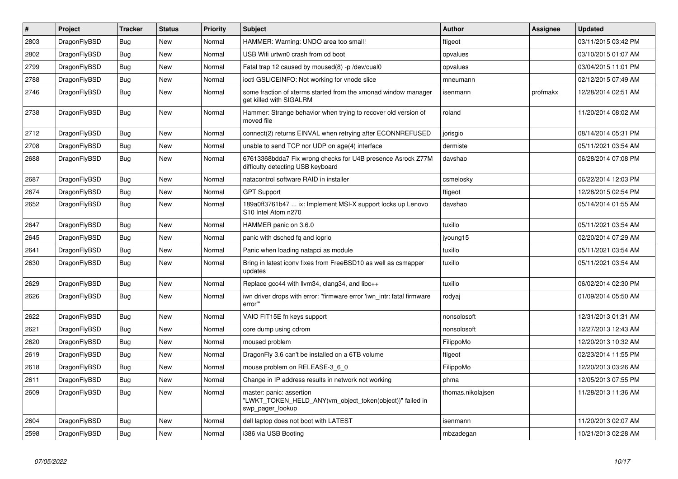| $\#$ | Project      | <b>Tracker</b> | <b>Status</b> | <b>Priority</b> | <b>Subject</b>                                                                                           | <b>Author</b>     | Assignee | <b>Updated</b>      |
|------|--------------|----------------|---------------|-----------------|----------------------------------------------------------------------------------------------------------|-------------------|----------|---------------------|
| 2803 | DragonFlyBSD | Bug            | <b>New</b>    | Normal          | HAMMER: Warning: UNDO area too small!                                                                    | ftigeot           |          | 03/11/2015 03:42 PM |
| 2802 | DragonFlyBSD | <b>Bug</b>     | <b>New</b>    | Normal          | USB Wifi urtwn0 crash from cd boot                                                                       | opvalues          |          | 03/10/2015 01:07 AM |
| 2799 | DragonFlyBSD | Bug            | New           | Normal          | Fatal trap 12 caused by moused(8) -p/dev/cual0                                                           | opvalues          |          | 03/04/2015 11:01 PM |
| 2788 | DragonFlyBSD | Bug            | <b>New</b>    | Normal          | ioctl GSLICEINFO: Not working for vnode slice                                                            | mneumann          |          | 02/12/2015 07:49 AM |
| 2746 | DragonFlyBSD | <b>Bug</b>     | New           | Normal          | some fraction of xterms started from the xmonad window manager<br>get killed with SIGALRM                | isenmann          | profmakx | 12/28/2014 02:51 AM |
| 2738 | DragonFlyBSD | Bug            | <b>New</b>    | Normal          | Hammer: Strange behavior when trying to recover old version of<br>moved file                             | roland            |          | 11/20/2014 08:02 AM |
| 2712 | DragonFlyBSD | Bug            | <b>New</b>    | Normal          | connect(2) returns EINVAL when retrying after ECONNREFUSED                                               | jorisgio          |          | 08/14/2014 05:31 PM |
| 2708 | DragonFlyBSD | Bug            | <b>New</b>    | Normal          | unable to send TCP nor UDP on age(4) interface                                                           | dermiste          |          | 05/11/2021 03:54 AM |
| 2688 | DragonFlyBSD | <b>Bug</b>     | New           | Normal          | 67613368bdda7 Fix wrong checks for U4B presence Asrock Z77M<br>difficulty detecting USB keyboard         | davshao           |          | 06/28/2014 07:08 PM |
| 2687 | DragonFlyBSD | Bug            | <b>New</b>    | Normal          | natacontrol software RAID in installer                                                                   | csmelosky         |          | 06/22/2014 12:03 PM |
| 2674 | DragonFlyBSD | <b>Bug</b>     | <b>New</b>    | Normal          | <b>GPT Support</b>                                                                                       | ftigeot           |          | 12/28/2015 02:54 PM |
| 2652 | DragonFlyBSD | Bug            | <b>New</b>    | Normal          | 189a0ff3761b47  ix: Implement MSI-X support locks up Lenovo<br>S10 Intel Atom n270                       | davshao           |          | 05/14/2014 01:55 AM |
| 2647 | DragonFlyBSD | <b>Bug</b>     | <b>New</b>    | Normal          | HAMMER panic on 3.6.0                                                                                    | tuxillo           |          | 05/11/2021 03:54 AM |
| 2645 | DragonFlyBSD | <b>Bug</b>     | <b>New</b>    | Normal          | panic with dsched fq and ioprio                                                                          | jyoung15          |          | 02/20/2014 07:29 AM |
| 2641 | DragonFlyBSD | Bug            | <b>New</b>    | Normal          | Panic when loading natapci as module                                                                     | tuxillo           |          | 05/11/2021 03:54 AM |
| 2630 | DragonFlyBSD | <b>Bug</b>     | <b>New</b>    | Normal          | Bring in latest iconv fixes from FreeBSD10 as well as csmapper<br>updates                                | tuxillo           |          | 05/11/2021 03:54 AM |
| 2629 | DragonFlyBSD | <b>Bug</b>     | <b>New</b>    | Normal          | Replace gcc44 with llvm34, clang34, and libc++                                                           | tuxillo           |          | 06/02/2014 02:30 PM |
| 2626 | DragonFlyBSD | <b>Bug</b>     | <b>New</b>    | Normal          | iwn driver drops with error: "firmware error 'iwn intr: fatal firmware<br>error"                         | rodyaj            |          | 01/09/2014 05:50 AM |
| 2622 | DragonFlyBSD | Bug            | <b>New</b>    | Normal          | VAIO FIT15E fn keys support                                                                              | nonsolosoft       |          | 12/31/2013 01:31 AM |
| 2621 | DragonFlyBSD | Bug            | New           | Normal          | core dump using cdrom                                                                                    | nonsolosoft       |          | 12/27/2013 12:43 AM |
| 2620 | DragonFlyBSD | Bug            | <b>New</b>    | Normal          | moused problem                                                                                           | FilippoMo         |          | 12/20/2013 10:32 AM |
| 2619 | DragonFlyBSD | Bug            | <b>New</b>    | Normal          | DragonFly 3.6 can't be installed on a 6TB volume                                                         | ftigeot           |          | 02/23/2014 11:55 PM |
| 2618 | DragonFlyBSD | <b>Bug</b>     | <b>New</b>    | Normal          | mouse problem on RELEASE-3_6_0                                                                           | FilippoMo         |          | 12/20/2013 03:26 AM |
| 2611 | DragonFlyBSD | Bug            | <b>New</b>    | Normal          | Change in IP address results in network not working                                                      | phma              |          | 12/05/2013 07:55 PM |
| 2609 | DragonFlyBSD | Bug            | <b>New</b>    | Normal          | master: panic: assertion<br>"LWKT TOKEN HELD ANY(vm object token(object))" failed in<br>swp pager lookup | thomas.nikolajsen |          | 11/28/2013 11:36 AM |
| 2604 | DragonFlyBSD | Bug            | <b>New</b>    | Normal          | dell laptop does not boot with LATEST                                                                    | isenmann          |          | 11/20/2013 02:07 AM |
| 2598 | DragonFlyBSD | Bug            | <b>New</b>    | Normal          | i386 via USB Booting                                                                                     | mbzadegan         |          | 10/21/2013 02:28 AM |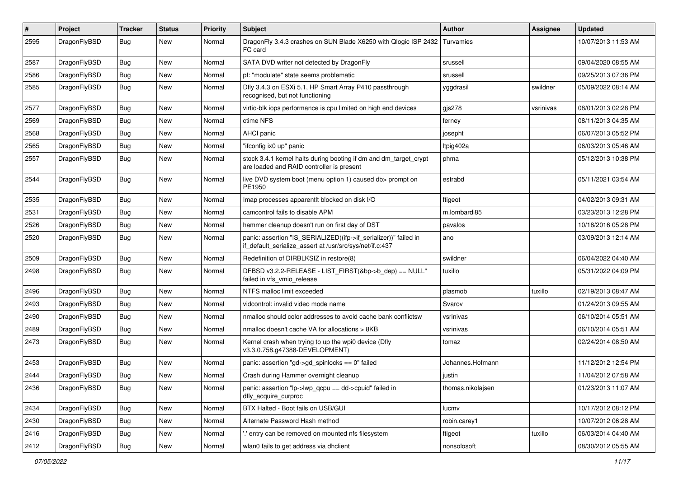| #    | Project      | <b>Tracker</b> | <b>Status</b> | <b>Priority</b> | Subject                                                                                                                      | Author            | Assignee  | <b>Updated</b>      |
|------|--------------|----------------|---------------|-----------------|------------------------------------------------------------------------------------------------------------------------------|-------------------|-----------|---------------------|
| 2595 | DragonFlyBSD | Bug            | <b>New</b>    | Normal          | DragonFly 3.4.3 crashes on SUN Blade X6250 with Qlogic ISP 2432<br>FC card                                                   | Turvamies         |           | 10/07/2013 11:53 AM |
| 2587 | DragonFlyBSD | <b>Bug</b>     | <b>New</b>    | Normal          | SATA DVD writer not detected by DragonFly                                                                                    | srussell          |           | 09/04/2020 08:55 AM |
| 2586 | DragonFlyBSD | <b>Bug</b>     | <b>New</b>    | Normal          | pf: "modulate" state seems problematic                                                                                       | srussell          |           | 09/25/2013 07:36 PM |
| 2585 | DragonFlyBSD | Bug            | <b>New</b>    | Normal          | Dfly 3.4.3 on ESXi 5.1, HP Smart Array P410 passthrough<br>recognised, but not functioning                                   | yggdrasil         | swildner  | 05/09/2022 08:14 AM |
| 2577 | DragonFlyBSD | Bug            | <b>New</b>    | Normal          | virtio-blk iops performance is cpu limited on high end devices                                                               | $g$ js278         | vsrinivas | 08/01/2013 02:28 PM |
| 2569 | DragonFlyBSD | <b>Bug</b>     | <b>New</b>    | Normal          | ctime NFS                                                                                                                    | ferney            |           | 08/11/2013 04:35 AM |
| 2568 | DragonFlyBSD | Bug            | <b>New</b>    | Normal          | <b>AHCI</b> panic                                                                                                            | josepht           |           | 06/07/2013 05:52 PM |
| 2565 | DragonFlyBSD | Bug            | <b>New</b>    | Normal          | "ifconfig ix0 up" panic                                                                                                      | Itpig402a         |           | 06/03/2013 05:46 AM |
| 2557 | DragonFlyBSD | Bug            | <b>New</b>    | Normal          | stock 3.4.1 kernel halts during booting if dm and dm_target_crypt<br>are loaded and RAID controller is present               | phma              |           | 05/12/2013 10:38 PM |
| 2544 | DragonFlyBSD | <b>Bug</b>     | New           | Normal          | live DVD system boot (menu option 1) caused db> prompt on<br>PE1950                                                          | estrabd           |           | 05/11/2021 03:54 AM |
| 2535 | DragonFlyBSD | Bug            | <b>New</b>    | Normal          | Imap processes apparentlt blocked on disk I/O                                                                                | ftigeot           |           | 04/02/2013 09:31 AM |
| 2531 | DragonFlyBSD | <b>Bug</b>     | <b>New</b>    | Normal          | camcontrol fails to disable APM                                                                                              | m.lombardi85      |           | 03/23/2013 12:28 PM |
| 2526 | DragonFlyBSD | Bug            | New           | Normal          | hammer cleanup doesn't run on first day of DST                                                                               | pavalos           |           | 10/18/2016 05:28 PM |
| 2520 | DragonFlyBSD | Bug            | <b>New</b>    | Normal          | panic: assertion "IS_SERIALIZED((ifp->if_serializer))" failed in<br>if_default_serialize_assert at /usr/src/sys/net/if.c:437 | ano               |           | 03/09/2013 12:14 AM |
| 2509 | DragonFlyBSD | Bug            | <b>New</b>    | Normal          | Redefinition of DIRBLKSIZ in restore(8)                                                                                      | swildner          |           | 06/04/2022 04:40 AM |
| 2498 | DragonFlyBSD | Bug            | <b>New</b>    | Normal          | DFBSD v3.2.2-RELEASE - LIST_FIRST(&bp->b_dep) == NULL"<br>failed in vfs vmio release                                         | tuxillo           |           | 05/31/2022 04:09 PM |
| 2496 | DragonFlyBSD | <b>Bug</b>     | <b>New</b>    | Normal          | NTFS malloc limit exceeded                                                                                                   | plasmob           | tuxillo   | 02/19/2013 08:47 AM |
| 2493 | DragonFlyBSD | Bug            | <b>New</b>    | Normal          | vidcontrol: invalid video mode name                                                                                          | Svarov            |           | 01/24/2013 09:55 AM |
| 2490 | DragonFlyBSD | Bug            | <b>New</b>    | Normal          | nmalloc should color addresses to avoid cache bank conflictsw                                                                | vsrinivas         |           | 06/10/2014 05:51 AM |
| 2489 | DragonFlyBSD | Bug            | <b>New</b>    | Normal          | nmalloc doesn't cache VA for allocations > 8KB                                                                               | vsrinivas         |           | 06/10/2014 05:51 AM |
| 2473 | DragonFlyBSD | <b>Bug</b>     | New           | Normal          | Kernel crash when trying to up the wpi0 device (Dfly<br>v3.3.0.758.g47388-DEVELOPMENT)                                       | tomaz             |           | 02/24/2014 08:50 AM |
| 2453 | DragonFlyBSD | Bug            | <b>New</b>    | Normal          | panic: assertion "gd->gd_spinlocks == 0" failed                                                                              | Johannes.Hofmann  |           | 11/12/2012 12:54 PM |
| 2444 | DragonFlyBSD | Bug            | New           | Normal          | Crash during Hammer overnight cleanup                                                                                        | justin            |           | 11/04/2012 07:58 AM |
| 2436 | DragonFlyBSD | Bug            | New           | Normal          | panic: assertion "lp->lwp_qcpu == dd->cpuid" failed in<br>dfly acquire curproc                                               | thomas.nikolajsen |           | 01/23/2013 11:07 AM |
| 2434 | DragonFlyBSD | <b>Bug</b>     | New           | Normal          | BTX Halted - Boot fails on USB/GUI                                                                                           | lucmv             |           | 10/17/2012 08:12 PM |
| 2430 | DragonFlyBSD | Bug            | New           | Normal          | Alternate Password Hash method                                                                                               | robin.carey1      |           | 10/07/2012 06:28 AM |
| 2416 | DragonFlyBSD | <b>Bug</b>     | New           | Normal          | ' entry can be removed on mounted nfs filesystem                                                                             | ftigeot           | tuxillo   | 06/03/2014 04:40 AM |
| 2412 | DragonFlyBSD | Bug            | New           | Normal          | wlan0 fails to get address via dhclient                                                                                      | nonsolosoft       |           | 08/30/2012 05:55 AM |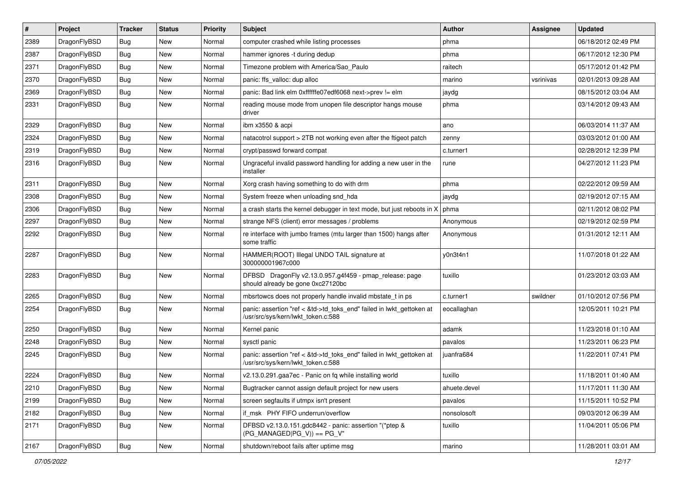| #    | Project      | <b>Tracker</b> | <b>Status</b> | <b>Priority</b> | Subject                                                                                                    | <b>Author</b> | Assignee  | <b>Updated</b>      |
|------|--------------|----------------|---------------|-----------------|------------------------------------------------------------------------------------------------------------|---------------|-----------|---------------------|
| 2389 | DragonFlyBSD | <b>Bug</b>     | New           | Normal          | computer crashed while listing processes                                                                   | phma          |           | 06/18/2012 02:49 PM |
| 2387 | DragonFlyBSD | Bug            | New           | Normal          | hammer ignores -t during dedup                                                                             | phma          |           | 06/17/2012 12:30 PM |
| 2371 | DragonFlyBSD | <b>Bug</b>     | New           | Normal          | Timezone problem with America/Sao_Paulo                                                                    | raitech       |           | 05/17/2012 01:42 PM |
| 2370 | DragonFlyBSD | <b>Bug</b>     | New           | Normal          | panic: ffs_valloc: dup alloc                                                                               | marino        | vsrinivas | 02/01/2013 09:28 AM |
| 2369 | DragonFlyBSD | Bug            | New           | Normal          | panic: Bad link elm 0xffffffe07edf6068 next->prev != elm                                                   | jaydg         |           | 08/15/2012 03:04 AM |
| 2331 | DragonFlyBSD | Bug            | New           | Normal          | reading mouse mode from unopen file descriptor hangs mouse<br>driver                                       | phma          |           | 03/14/2012 09:43 AM |
| 2329 | DragonFlyBSD | Bug            | <b>New</b>    | Normal          | ibm x3550 & acpi                                                                                           | ano           |           | 06/03/2014 11:37 AM |
| 2324 | DragonFlyBSD | <b>Bug</b>     | New           | Normal          | natacotrol support > 2TB not working even after the ftigeot patch                                          | zenny         |           | 03/03/2012 01:00 AM |
| 2319 | DragonFlyBSD | Bug            | New           | Normal          | crypt/passwd forward compat                                                                                | c.turner1     |           | 02/28/2012 12:39 PM |
| 2316 | DragonFlyBSD | <b>Bug</b>     | New           | Normal          | Ungraceful invalid password handling for adding a new user in the<br>installer                             | rune          |           | 04/27/2012 11:23 PM |
| 2311 | DragonFlyBSD | Bug            | New           | Normal          | Xorg crash having something to do with drm                                                                 | phma          |           | 02/22/2012 09:59 AM |
| 2308 | DragonFlyBSD | <b>Bug</b>     | New           | Normal          | System freeze when unloading snd hda                                                                       | jaydg         |           | 02/19/2012 07:15 AM |
| 2306 | DragonFlyBSD | Bug            | New           | Normal          | a crash starts the kernel debugger in text mode, but just reboots in X                                     | phma          |           | 02/11/2012 08:02 PM |
| 2297 | DragonFlyBSD | <b>Bug</b>     | New           | Normal          | strange NFS (client) error messages / problems                                                             | Anonymous     |           | 02/19/2012 02:59 PM |
| 2292 | DragonFlyBSD | <b>Bug</b>     | New           | Normal          | re interface with jumbo frames (mtu larger than 1500) hangs after<br>some traffic                          | Anonymous     |           | 01/31/2012 12:11 AM |
| 2287 | DragonFlyBSD | Bug            | New           | Normal          | HAMMER(ROOT) Illegal UNDO TAIL signature at<br>300000001967c000                                            | y0n3t4n1      |           | 11/07/2018 01:22 AM |
| 2283 | DragonFlyBSD | Bug            | New           | Normal          | DFBSD DragonFly v2.13.0.957.g4f459 - pmap_release: page<br>should already be gone 0xc27120bc               | tuxillo       |           | 01/23/2012 03:03 AM |
| 2265 | DragonFlyBSD | Bug            | New           | Normal          | mbsrtowcs does not properly handle invalid mbstate_t in ps                                                 | c.turner1     | swildner  | 01/10/2012 07:56 PM |
| 2254 | DragonFlyBSD | <b>Bug</b>     | New           | Normal          | panic: assertion "ref < &td->td_toks_end" failed in lwkt_gettoken at<br>/usr/src/sys/kern/lwkt_token.c:588 | eocallaghan   |           | 12/05/2011 10:21 PM |
| 2250 | DragonFlyBSD | <b>Bug</b>     | New           | Normal          | Kernel panic                                                                                               | adamk         |           | 11/23/2018 01:10 AM |
| 2248 | DragonFlyBSD | <b>Bug</b>     | New           | Normal          | sysctl panic                                                                                               | pavalos       |           | 11/23/2011 06:23 PM |
| 2245 | DragonFlyBSD | <b>Bug</b>     | New           | Normal          | panic: assertion "ref < &td->td_toks_end" failed in lwkt_gettoken at<br>/usr/src/sys/kern/lwkt_token.c:588 | juanfra684    |           | 11/22/2011 07:41 PM |
| 2224 | DragonFlyBSD | Bug            | New           | Normal          | v2.13.0.291.gaa7ec - Panic on fq while installing world                                                    | tuxillo       |           | 11/18/2011 01:40 AM |
| 2210 | DragonFlyBSD | <b>Bug</b>     | New           | Normal          | Bugtracker cannot assign default project for new users                                                     | ahuete.devel  |           | 11/17/2011 11:30 AM |
| 2199 | DragonFlyBSD | <b>Bug</b>     | New           | Normal          | screen segfaults if utmpx isn't present                                                                    | pavalos       |           | 11/15/2011 10:52 PM |
| 2182 | DragonFlyBSD | Bug            | <b>New</b>    | Normal          | if_msk PHY FIFO underrun/overflow                                                                          | nonsolosoft   |           | 09/03/2012 06:39 AM |
| 2171 | DragonFlyBSD | <b>Bug</b>     | New           | Normal          | DFBSD v2.13.0.151.gdc8442 - panic: assertion "(*ptep &<br>$(PG_MANAGED PG_V)$ == PG_V"                     | tuxillo       |           | 11/04/2011 05:06 PM |
| 2167 | DragonFlyBSD | <b>Bug</b>     | New           | Normal          | shutdown/reboot fails after uptime msg                                                                     | marino        |           | 11/28/2011 03:01 AM |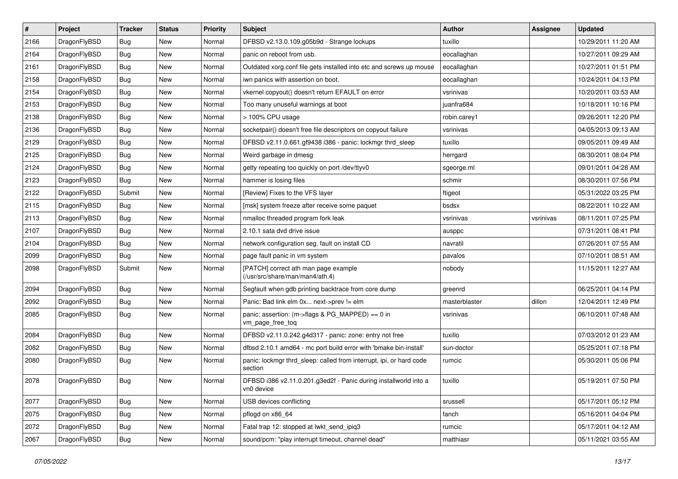| $\sharp$ | Project      | <b>Tracker</b> | <b>Status</b> | <b>Priority</b> | Subject                                                                        | <b>Author</b> | Assignee  | <b>Updated</b>      |
|----------|--------------|----------------|---------------|-----------------|--------------------------------------------------------------------------------|---------------|-----------|---------------------|
| 2166     | DragonFlyBSD | <b>Bug</b>     | New           | Normal          | DFBSD v2.13.0.109.g05b9d - Strange lockups                                     | tuxillo       |           | 10/29/2011 11:20 AM |
| 2164     | DragonFlyBSD | Bug            | New           | Normal          | panic on reboot from usb.                                                      | eocallaghan   |           | 10/27/2011 09:29 AM |
| 2161     | DragonFlyBSD | <b>Bug</b>     | New           | Normal          | Outdated xorg.conf file gets installed into etc and screws up mouse            | eocallaghan   |           | 10/27/2011 01:51 PM |
| 2158     | DragonFlyBSD | <b>Bug</b>     | New           | Normal          | iwn panics with assertion on boot.                                             | eocallaghan   |           | 10/24/2011 04:13 PM |
| 2154     | DragonFlyBSD | Bug            | <b>New</b>    | Normal          | vkernel copyout() doesn't return EFAULT on error                               | vsrinivas     |           | 10/20/2011 03:53 AM |
| 2153     | DragonFlyBSD | <b>Bug</b>     | <b>New</b>    | Normal          | Too many unuseful warnings at boot                                             | juanfra684    |           | 10/18/2011 10:16 PM |
| 2138     | DragonFlyBSD | <b>Bug</b>     | New           | Normal          | > 100% CPU usage                                                               | robin.carey1  |           | 09/26/2011 12:20 PM |
| 2136     | DragonFlyBSD | <b>Bug</b>     | <b>New</b>    | Normal          | socketpair() doesn't free file descriptors on copyout failure                  | vsrinivas     |           | 04/05/2013 09:13 AM |
| 2129     | DragonFlyBSD | <b>Bug</b>     | New           | Normal          | DFBSD v2.11.0.661.gf9438 i386 - panic: lockmgr thrd_sleep                      | tuxillo       |           | 09/05/2011 09:49 AM |
| 2125     | DragonFlyBSD | Bug            | <b>New</b>    | Normal          | Weird garbage in dmesg                                                         | herrgard      |           | 08/30/2011 08:04 PM |
| 2124     | DragonFlyBSD | Bug            | New           | Normal          | getty repeating too quickly on port /dev/ttyv0                                 | sgeorge.ml    |           | 09/01/2011 04:28 AM |
| 2123     | DragonFlyBSD | Bug            | <b>New</b>    | Normal          | hammer is losing files                                                         | schmir        |           | 08/30/2011 07:56 PM |
| 2122     | DragonFlyBSD | Submit         | <b>New</b>    | Normal          | [Review] Fixes to the VFS layer                                                | ftigeot       |           | 05/31/2022 03:25 PM |
| 2115     | DragonFlyBSD | Bug            | New           | Normal          | [msk] system freeze after receive some paquet                                  | bsdsx         |           | 08/22/2011 10:22 AM |
| 2113     | DragonFlyBSD | Bug            | <b>New</b>    | Normal          | nmalloc threaded program fork leak                                             | vsrinivas     | vsrinivas | 08/11/2011 07:25 PM |
| 2107     | DragonFlyBSD | Bug            | New           | Normal          | 2.10.1 sata dvd drive issue                                                    | ausppc        |           | 07/31/2011 08:41 PM |
| 2104     | DragonFlyBSD | Bug            | New           | Normal          | network configuration seg. fault on install CD                                 | navratil      |           | 07/26/2011 07:55 AM |
| 2099     | DragonFlyBSD | Bug            | New           | Normal          | page fault panic in vm system                                                  | pavalos       |           | 07/10/2011 08:51 AM |
| 2098     | DragonFlyBSD | Submit         | <b>New</b>    | Normal          | [PATCH] correct ath man page example<br>(/usr/src/share/man/man4/ath.4)        | nobody        |           | 11/15/2011 12:27 AM |
| 2094     | DragonFlyBSD | Bug            | New           | Normal          | Segfault when gdb printing backtrace from core dump                            | greenrd       |           | 06/25/2011 04:14 PM |
| 2092     | DragonFlyBSD | Bug            | New           | Normal          | Panic: Bad link elm 0x next->prev != elm                                       | masterblaster | dillon    | 12/04/2011 12:49 PM |
| 2085     | DragonFlyBSD | Bug            | New           | Normal          | panic: assertion: (m->flags & PG_MAPPED) == 0 in<br>vm_page_free_toq           | vsrinivas     |           | 06/10/2011 07:48 AM |
| 2084     | DragonFlyBSD | Bug            | <b>New</b>    | Normal          | DFBSD v2.11.0.242.g4d317 - panic: zone: entry not free                         | tuxillo       |           | 07/03/2012 01:23 AM |
| 2082     | DragonFlyBSD | Bug            | New           | Normal          | dfbsd 2.10.1 amd64 - mc port build error with 'bmake bin-install'              | sun-doctor    |           | 05/25/2011 07:18 PM |
| 2080     | DragonFlyBSD | Bug            | <b>New</b>    | Normal          | panic: lockmgr thrd_sleep: called from interrupt, ipi, or hard code<br>section | rumcic        |           | 05/30/2011 05:06 PM |
| 2078     | DragonFlyBSD | <b>Bug</b>     | <b>New</b>    | Normal          | DFBSD i386 v2.11.0.201.g3ed2f - Panic during installworld into a<br>vn0 device | tuxillo       |           | 05/19/2011 07:50 PM |
| 2077     | DragonFlyBSD | <b>Bug</b>     | New           | Normal          | USB devices conflicting                                                        | srussell      |           | 05/17/2011 05:12 PM |
| 2075     | DragonFlyBSD | Bug            | New           | Normal          | pflogd on x86 64                                                               | fanch         |           | 05/16/2011 04:04 PM |
| 2072     | DragonFlyBSD | <b>Bug</b>     | New           | Normal          | Fatal trap 12: stopped at lwkt_send_ipiq3                                      | rumcic        |           | 05/17/2011 04:12 AM |
| 2067     | DragonFlyBSD | Bug            | New           | Normal          | sound/pcm: "play interrupt timeout, channel dead"                              | matthiasr     |           | 05/11/2021 03:55 AM |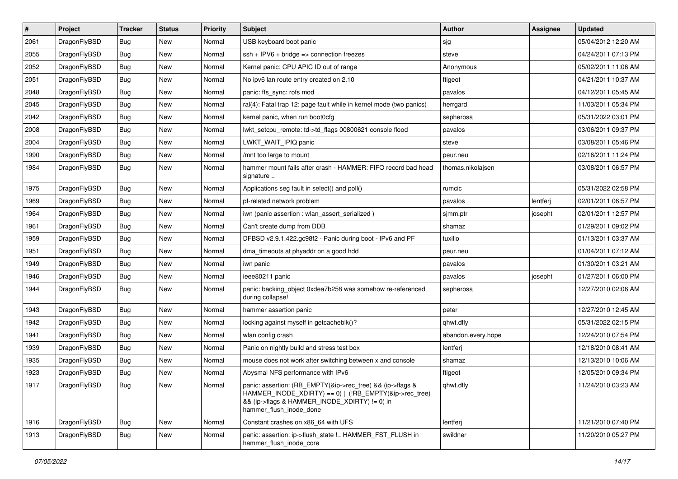| $\sharp$ | Project      | <b>Tracker</b> | <b>Status</b> | <b>Priority</b> | Subject                                                                                                                                                                                           | <b>Author</b>      | Assignee | <b>Updated</b>      |
|----------|--------------|----------------|---------------|-----------------|---------------------------------------------------------------------------------------------------------------------------------------------------------------------------------------------------|--------------------|----------|---------------------|
| 2061     | DragonFlyBSD | Bug            | New           | Normal          | USB keyboard boot panic                                                                                                                                                                           | sjg                |          | 05/04/2012 12:20 AM |
| 2055     | DragonFlyBSD | Bug            | <b>New</b>    | Normal          | $ssh + IPV6 + bridge \Rightarrow connection freezes$                                                                                                                                              | steve              |          | 04/24/2011 07:13 PM |
| 2052     | DragonFlyBSD | Bug            | <b>New</b>    | Normal          | Kernel panic: CPU APIC ID out of range                                                                                                                                                            | Anonymous          |          | 05/02/2011 11:06 AM |
| 2051     | DragonFlyBSD | <b>Bug</b>     | New           | Normal          | No ipv6 lan route entry created on 2.10                                                                                                                                                           | ftigeot            |          | 04/21/2011 10:37 AM |
| 2048     | DragonFlyBSD | Bug            | <b>New</b>    | Normal          | panic: ffs_sync: rofs mod                                                                                                                                                                         | pavalos            |          | 04/12/2011 05:45 AM |
| 2045     | DragonFlyBSD | <b>Bug</b>     | New           | Normal          | ral(4): Fatal trap 12: page fault while in kernel mode (two panics)                                                                                                                               | herrgard           |          | 11/03/2011 05:34 PM |
| 2042     | DragonFlyBSD | Bug            | New           | Normal          | kernel panic, when run boot0cfg                                                                                                                                                                   | sepherosa          |          | 05/31/2022 03:01 PM |
| 2008     | DragonFlyBSD | <b>Bug</b>     | <b>New</b>    | Normal          | lwkt_setcpu_remote: td->td_flags 00800621 console flood                                                                                                                                           | pavalos            |          | 03/06/2011 09:37 PM |
| 2004     | DragonFlyBSD | Bug            | New           | Normal          | LWKT_WAIT_IPIQ panic                                                                                                                                                                              | steve              |          | 03/08/2011 05:46 PM |
| 1990     | DragonFlyBSD | Bug            | <b>New</b>    | Normal          | /mnt too large to mount                                                                                                                                                                           | peur.neu           |          | 02/16/2011 11:24 PM |
| 1984     | DragonFlyBSD | <b>Bug</b>     | New           | Normal          | hammer mount fails after crash - HAMMER: FIFO record bad head<br>signature                                                                                                                        | thomas.nikolajsen  |          | 03/08/2011 06:57 PM |
| 1975     | DragonFlyBSD | Bug            | <b>New</b>    | Normal          | Applications seg fault in select() and poll()                                                                                                                                                     | rumcic             |          | 05/31/2022 02:58 PM |
| 1969     | DragonFlyBSD | <b>Bug</b>     | <b>New</b>    | Normal          | pf-related network problem                                                                                                                                                                        | pavalos            | lentferj | 02/01/2011 06:57 PM |
| 1964     | DragonFlyBSD | Bug            | New           | Normal          | iwn (panic assertion : wlan assert serialized)                                                                                                                                                    | sjmm.ptr           | josepht  | 02/01/2011 12:57 PM |
| 1961     | DragonFlyBSD | <b>Bug</b>     | <b>New</b>    | Normal          | Can't create dump from DDB                                                                                                                                                                        | shamaz             |          | 01/29/2011 09:02 PM |
| 1959     | DragonFlyBSD | <b>Bug</b>     | New           | Normal          | DFBSD v2.9.1.422.gc98f2 - Panic during boot - IPv6 and PF                                                                                                                                         | tuxillo            |          | 01/13/2011 03:37 AM |
| 1951     | DragonFlyBSD | Bug            | <b>New</b>    | Normal          | dma_timeouts at phyaddr on a good hdd                                                                                                                                                             | peur.neu           |          | 01/04/2011 07:12 AM |
| 1949     | DragonFlyBSD | <b>Bug</b>     | New           | Normal          | iwn panic                                                                                                                                                                                         | pavalos            |          | 01/30/2011 03:21 AM |
| 1946     | DragonFlyBSD | Bug            | <b>New</b>    | Normal          | ieee80211 panic                                                                                                                                                                                   | pavalos            | josepht  | 01/27/2011 06:00 PM |
| 1944     | DragonFlyBSD | Bug            | New           | Normal          | panic: backing_object 0xdea7b258 was somehow re-referenced<br>during collapse!                                                                                                                    | sepherosa          |          | 12/27/2010 02:06 AM |
| 1943     | DragonFlyBSD | <b>Bug</b>     | New           | Normal          | hammer assertion panic                                                                                                                                                                            | peter              |          | 12/27/2010 12:45 AM |
| 1942     | DragonFlyBSD | <b>Bug</b>     | <b>New</b>    | Normal          | locking against myself in getcacheblk()?                                                                                                                                                          | qhwt.dfly          |          | 05/31/2022 02:15 PM |
| 1941     | DragonFlyBSD | <b>Bug</b>     | <b>New</b>    | Normal          | wlan config crash                                                                                                                                                                                 | abandon.every.hope |          | 12/24/2010 07:54 PM |
| 1939     | DragonFlyBSD | Bug            | New           | Normal          | Panic on nightly build and stress test box                                                                                                                                                        | lentferj           |          | 12/18/2010 08:41 AM |
| 1935     | DragonFlyBSD | <b>Bug</b>     | New           | Normal          | mouse does not work after switching between x and console                                                                                                                                         | shamaz             |          | 12/13/2010 10:06 AM |
| 1923     | DragonFlyBSD | Bug            | New           | Normal          | Abysmal NFS performance with IPv6                                                                                                                                                                 | ftigeot            |          | 12/05/2010 09:34 PM |
| 1917     | DragonFlyBSD | Bug            | New           | Normal          | panic: assertion: (RB_EMPTY(&ip->rec_tree) && (ip->flags &<br>HAMMER_INODE_XDIRTY) == 0)    (!RB_EMPTY(&ip->rec_tree)<br>&& (ip->flags & HAMMER_INODE_XDIRTY) != 0) in<br>hammer_flush_inode_done | qhwt.dfly          |          | 11/24/2010 03:23 AM |
| 1916     | DragonFlyBSD | <b>Bug</b>     | <b>New</b>    | Normal          | Constant crashes on x86_64 with UFS                                                                                                                                                               | lentferj           |          | 11/21/2010 07:40 PM |
| 1913     | DragonFlyBSD | Bug            | New           | Normal          | panic: assertion: ip->flush state != HAMMER FST FLUSH in<br>hammer_flush_inode_core                                                                                                               | swildner           |          | 11/20/2010 05:27 PM |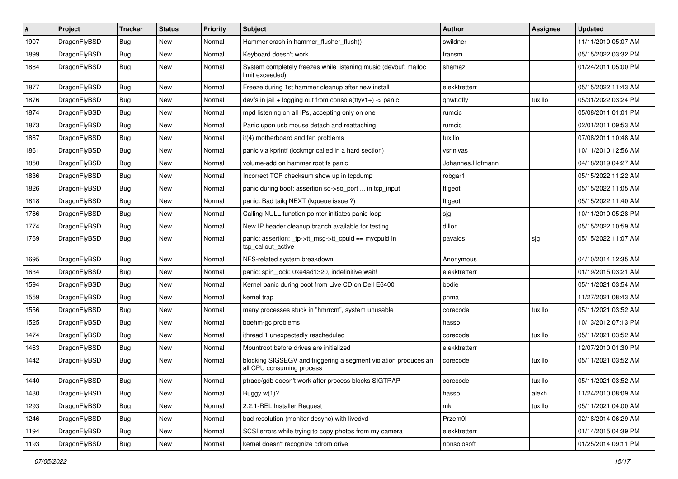| $\sharp$ | Project      | <b>Tracker</b> | <b>Status</b> | <b>Priority</b> | Subject                                                                                      | <b>Author</b>    | Assignee | <b>Updated</b>      |
|----------|--------------|----------------|---------------|-----------------|----------------------------------------------------------------------------------------------|------------------|----------|---------------------|
| 1907     | DragonFlyBSD | Bug            | <b>New</b>    | Normal          | Hammer crash in hammer_flusher_flush()                                                       | swildner         |          | 11/11/2010 05:07 AM |
| 1899     | DragonFlyBSD | Bug            | <b>New</b>    | Normal          | Keyboard doesn't work                                                                        | fransm           |          | 05/15/2022 03:32 PM |
| 1884     | DragonFlyBSD | Bug            | New           | Normal          | System completely freezes while listening music (devbuf: malloc<br>limit exceeded)           | shamaz           |          | 01/24/2011 05:00 PM |
| 1877     | DragonFlyBSD | Bug            | New           | Normal          | Freeze during 1st hammer cleanup after new install                                           | elekktretterr    |          | 05/15/2022 11:43 AM |
| 1876     | DragonFlyBSD | Bug            | New           | Normal          | devfs in jail + logging out from console(ttyv1+) -> panic                                    | qhwt.dfly        | tuxillo  | 05/31/2022 03:24 PM |
| 1874     | DragonFlyBSD | Bug            | <b>New</b>    | Normal          | mpd listening on all IPs, accepting only on one                                              | rumcic           |          | 05/08/2011 01:01 PM |
| 1873     | DragonFlyBSD | Bug            | <b>New</b>    | Normal          | Panic upon usb mouse detach and reattaching                                                  | rumcic           |          | 02/01/2011 09:53 AM |
| 1867     | DragonFlyBSD | Bug            | New           | Normal          | it(4) motherboard and fan problems                                                           | tuxillo          |          | 07/08/2011 10:48 AM |
| 1861     | DragonFlyBSD | Bug            | <b>New</b>    | Normal          | panic via kprintf (lockmgr called in a hard section)                                         | vsrinivas        |          | 10/11/2010 12:56 AM |
| 1850     | DragonFlyBSD | Bug            | New           | Normal          | volume-add on hammer root fs panic                                                           | Johannes.Hofmann |          | 04/18/2019 04:27 AM |
| 1836     | DragonFlyBSD | Bug            | New           | Normal          | Incorrect TCP checksum show up in tcpdump                                                    | robgar1          |          | 05/15/2022 11:22 AM |
| 1826     | DragonFlyBSD | Bug            | <b>New</b>    | Normal          | panic during boot: assertion so->so_port  in tcp_input                                       | ftigeot          |          | 05/15/2022 11:05 AM |
| 1818     | DragonFlyBSD | <b>Bug</b>     | New           | Normal          | panic: Bad tailq NEXT (kqueue issue ?)                                                       | ftigeot          |          | 05/15/2022 11:40 AM |
| 1786     | DragonFlyBSD | Bug            | New           | Normal          | Calling NULL function pointer initiates panic loop                                           | sjg              |          | 10/11/2010 05:28 PM |
| 1774     | DragonFlyBSD | Bug            | New           | Normal          | New IP header cleanup branch available for testing                                           | dillon           |          | 05/15/2022 10:59 AM |
| 1769     | DragonFlyBSD | Bug            | <b>New</b>    | Normal          | panic: assertion: tp->tt_msg->tt_cpuid == mycpuid in<br>tcp_callout_active                   | pavalos          | sjg      | 05/15/2022 11:07 AM |
| 1695     | DragonFlyBSD | Bug            | <b>New</b>    | Normal          | NFS-related system breakdown                                                                 | Anonymous        |          | 04/10/2014 12:35 AM |
| 1634     | DragonFlyBSD | Bug            | <b>New</b>    | Normal          | panic: spin_lock: 0xe4ad1320, indefinitive wait!                                             | elekktretterr    |          | 01/19/2015 03:21 AM |
| 1594     | DragonFlyBSD | Bug            | <b>New</b>    | Normal          | Kernel panic during boot from Live CD on Dell E6400                                          | bodie            |          | 05/11/2021 03:54 AM |
| 1559     | DragonFlyBSD | <b>Bug</b>     | New           | Normal          | kernel trap                                                                                  | phma             |          | 11/27/2021 08:43 AM |
| 1556     | DragonFlyBSD | Bug            | New           | Normal          | many processes stuck in "hmrrcm", system unusable                                            | corecode         | tuxillo  | 05/11/2021 03:52 AM |
| 1525     | DragonFlyBSD | Bug            | New           | Normal          | boehm-gc problems                                                                            | hasso            |          | 10/13/2012 07:13 PM |
| 1474     | DragonFlyBSD | Bug            | <b>New</b>    | Normal          | ithread 1 unexpectedly rescheduled                                                           | corecode         | tuxillo  | 05/11/2021 03:52 AM |
| 1463     | DragonFlyBSD | Bug            | New           | Normal          | Mountroot before drives are initialized                                                      | elekktretterr    |          | 12/07/2010 01:30 PM |
| 1442     | DragonFlyBSD | Bug            | New           | Normal          | blocking SIGSEGV and triggering a segment violation produces an<br>all CPU consuming process | corecode         | tuxillo  | 05/11/2021 03:52 AM |
| 1440     | DragonFlyBSD | Bug            | New           | Normal          | ptrace/gdb doesn't work after process blocks SIGTRAP                                         | corecode         | tuxillo  | 05/11/2021 03:52 AM |
| 1430     | DragonFlyBSD | <b>Bug</b>     | New           | Normal          | Buggy w(1)?                                                                                  | hasso            | alexh    | 11/24/2010 08:09 AM |
| 1293     | DragonFlyBSD | <b>Bug</b>     | <b>New</b>    | Normal          | 2.2.1-REL Installer Request                                                                  | mk               | tuxillo  | 05/11/2021 04:00 AM |
| 1246     | DragonFlyBSD | <b>Bug</b>     | <b>New</b>    | Normal          | bad resolution (monitor desync) with livedvd                                                 | Przem0l          |          | 02/18/2014 06:29 AM |
| 1194     | DragonFlyBSD | <b>Bug</b>     | New           | Normal          | SCSI errors while trying to copy photos from my camera                                       | elekktretterr    |          | 01/14/2015 04:39 PM |
| 1193     | DragonFlyBSD | <b>Bug</b>     | New           | Normal          | kernel doesn't recognize cdrom drive                                                         | nonsolosoft      |          | 01/25/2014 09:11 PM |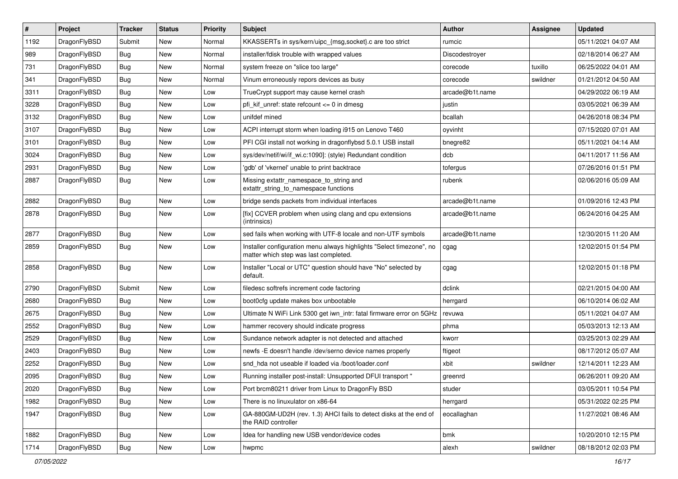| $\sharp$ | Project      | <b>Tracker</b> | <b>Status</b> | <b>Priority</b> | Subject                                                                                                       | <b>Author</b>   | Assignee | <b>Updated</b>      |
|----------|--------------|----------------|---------------|-----------------|---------------------------------------------------------------------------------------------------------------|-----------------|----------|---------------------|
| 1192     | DragonFlyBSD | Submit         | New           | Normal          | KKASSERTs in sys/kern/uipc_{msg,socket}.c are too strict                                                      | rumcic          |          | 05/11/2021 04:07 AM |
| 989      | DragonFlyBSD | Bug            | New           | Normal          | installer/fdisk trouble with wrapped values                                                                   | Discodestroyer  |          | 02/18/2014 06:27 AM |
| 731      | DragonFlyBSD | Bug            | New           | Normal          | system freeze on "slice too large"                                                                            | corecode        | tuxillo  | 06/25/2022 04:01 AM |
| 341      | DragonFlyBSD | Bug            | <b>New</b>    | Normal          | Vinum erroneously repors devices as busy                                                                      | corecode        | swildner | 01/21/2012 04:50 AM |
| 3311     | DragonFlyBSD | Bug            | <b>New</b>    | Low             | TrueCrypt support may cause kernel crash                                                                      | arcade@b1t.name |          | 04/29/2022 06:19 AM |
| 3228     | DragonFlyBSD | Bug            | <b>New</b>    | Low             | pfi_kif_unref: state refcount <= 0 in dmesg                                                                   | justin          |          | 03/05/2021 06:39 AM |
| 3132     | DragonFlyBSD | Bug            | New           | Low             | unifdef mined                                                                                                 | bcallah         |          | 04/26/2018 08:34 PM |
| 3107     | DragonFlyBSD | Bug            | <b>New</b>    | Low             | ACPI interrupt storm when loading i915 on Lenovo T460                                                         | oyvinht         |          | 07/15/2020 07:01 AM |
| 3101     | DragonFlyBSD | Bug            | New           | Low             | PFI CGI install not working in dragonflybsd 5.0.1 USB install                                                 | bnegre82        |          | 05/11/2021 04:14 AM |
| 3024     | DragonFlyBSD | Bug            | New           | Low             | sys/dev/netif/wi/if_wi.c:1090]: (style) Redundant condition                                                   | dcb             |          | 04/11/2017 11:56 AM |
| 2931     | DragonFlyBSD | Bug            | New           | Low             | 'gdb' of 'vkernel' unable to print backtrace                                                                  | tofergus        |          | 07/26/2016 01:51 PM |
| 2887     | DragonFlyBSD | Bug            | <b>New</b>    | Low             | Missing extattr_namespace_to_string and<br>extattr string to namespace functions                              | rubenk          |          | 02/06/2016 05:09 AM |
| 2882     | DragonFlyBSD | Bug            | <b>New</b>    | Low             | bridge sends packets from individual interfaces                                                               | arcade@b1t.name |          | 01/09/2016 12:43 PM |
| 2878     | DragonFlyBSD | Bug            | New           | Low             | [fix] CCVER problem when using clang and cpu extensions<br>(intrinsics)                                       | arcade@b1t.name |          | 06/24/2016 04:25 AM |
| 2877     | DragonFlyBSD | Bug            | New           | Low             | sed fails when working with UTF-8 locale and non-UTF symbols                                                  | arcade@b1t.name |          | 12/30/2015 11:20 AM |
| 2859     | DragonFlyBSD | Bug            | New           | Low             | Installer configuration menu always highlights "Select timezone", no<br>matter which step was last completed. | cgag            |          | 12/02/2015 01:54 PM |
| 2858     | DragonFlyBSD | Bug            | <b>New</b>    | Low             | Installer "Local or UTC" question should have "No" selected by<br>default.                                    | cgag            |          | 12/02/2015 01:18 PM |
| 2790     | DragonFlyBSD | Submit         | <b>New</b>    | Low             | filedesc softrefs increment code factoring                                                                    | dclink          |          | 02/21/2015 04:00 AM |
| 2680     | DragonFlyBSD | Bug            | <b>New</b>    | Low             | boot0cfg update makes box unbootable                                                                          | herrgard        |          | 06/10/2014 06:02 AM |
| 2675     | DragonFlyBSD | <b>Bug</b>     | <b>New</b>    | Low             | Ultimate N WiFi Link 5300 get iwn_intr: fatal firmware error on 5GHz                                          | revuwa          |          | 05/11/2021 04:07 AM |
| 2552     | DragonFlyBSD | <b>Bug</b>     | New           | Low             | hammer recovery should indicate progress                                                                      | phma            |          | 05/03/2013 12:13 AM |
| 2529     | DragonFlyBSD | Bug            | New           | Low             | Sundance network adapter is not detected and attached                                                         | kworr           |          | 03/25/2013 02:29 AM |
| 2403     | DragonFlyBSD | <b>Bug</b>     | New           | Low             | newfs -E doesn't handle /dev/serno device names properly                                                      | ftigeot         |          | 08/17/2012 05:07 AM |
| 2252     | DragonFlyBSD | <b>Bug</b>     | <b>New</b>    | Low             | snd hda not useable if loaded via /boot/loader.conf                                                           | xbit            | swildner | 12/14/2011 12:23 AM |
| 2095     | DragonFlyBSD | Bug            | <b>New</b>    | Low             | Running installer post-install: Unsupported DFUI transport "                                                  | greenrd         |          | 06/26/2011 09:20 AM |
| 2020     | DragonFlyBSD | <b>Bug</b>     | New           | Low             | Port brcm80211 driver from Linux to DragonFly BSD                                                             | studer          |          | 03/05/2011 10:54 PM |
| 1982     | DragonFlyBSD | <b>Bug</b>     | <b>New</b>    | Low             | There is no linuxulator on x86-64                                                                             | herrgard        |          | 05/31/2022 02:25 PM |
| 1947     | DragonFlyBSD | <b>Bug</b>     | New           | Low             | GA-880GM-UD2H (rev. 1.3) AHCI fails to detect disks at the end of<br>the RAID controller                      | eocallaghan     |          | 11/27/2021 08:46 AM |
| 1882     | DragonFlyBSD | <b>Bug</b>     | <b>New</b>    | Low             | Idea for handling new USB vendor/device codes                                                                 | bmk             |          | 10/20/2010 12:15 PM |
| 1714     | DragonFlyBSD | Bug            | New           | Low             | hwpmc                                                                                                         | alexh           | swildner | 08/18/2012 02:03 PM |